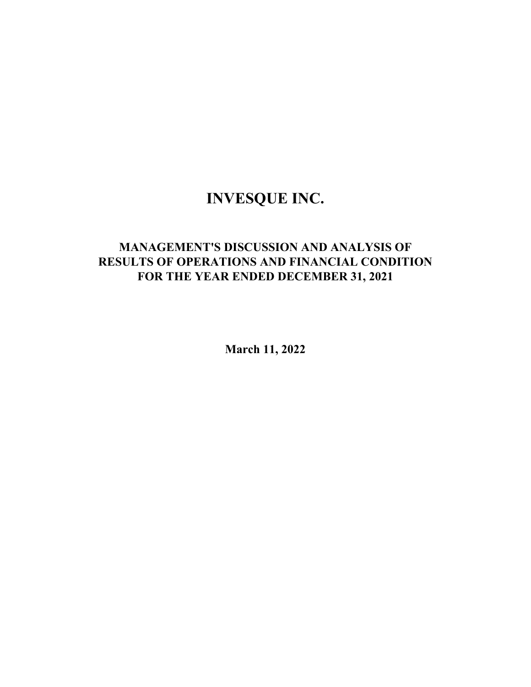# **INVESQUE INC.**

## **MANAGEMENT'S DISCUSSION AND ANALYSIS OF RESULTS OF OPERATIONS AND FINANCIAL CONDITION FOR THE YEAR ENDED DECEMBER 31, 2021**

**March 11, 2022**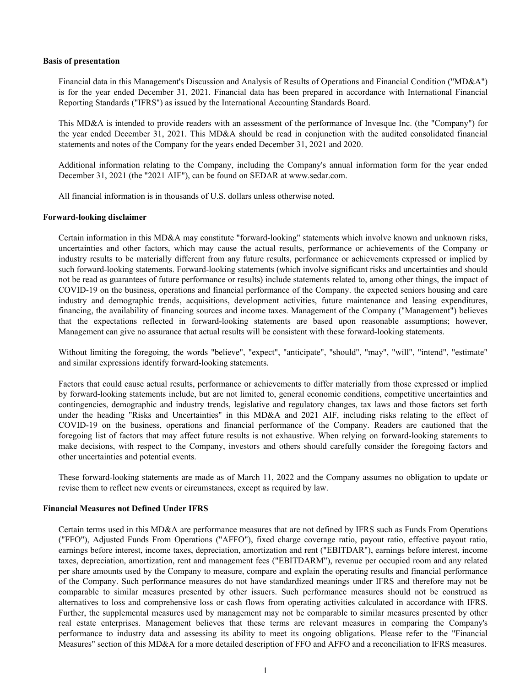#### **Basis of presentation**

Financial data in this Management's Discussion and Analysis of Results of Operations and Financial Condition ("MD&A") is for the year ended December 31, 2021. Financial data has been prepared in accordance with International Financial Reporting Standards ("IFRS") as issued by the International Accounting Standards Board.

This MD&A is intended to provide readers with an assessment of the performance of Invesque Inc. (the "Company") for the year ended December 31, 2021. This MD&A should be read in conjunction with the audited consolidated financial statements and notes of the Company for the years ended December 31, 2021 and 2020.

Additional information relating to the Company, including the Company's annual information form for the year ended December 31, 2021 (the "2021 AIF"), can be found on SEDAR at www.sedar.com.

All financial information is in thousands of U.S. dollars unless otherwise noted.

#### **Forward-looking disclaimer**

Certain information in this MD&A may constitute "forward-looking" statements which involve known and unknown risks, uncertainties and other factors, which may cause the actual results, performance or achievements of the Company or industry results to be materially different from any future results, performance or achievements expressed or implied by such forward-looking statements. Forward-looking statements (which involve significant risks and uncertainties and should not be read as guarantees of future performance or results) include statements related to, among other things, the impact of COVID-19 on the business, operations and financial performance of the Company. the expected seniors housing and care industry and demographic trends, acquisitions, development activities, future maintenance and leasing expenditures, financing, the availability of financing sources and income taxes. Management of the Company ("Management") believes that the expectations reflected in forward-looking statements are based upon reasonable assumptions; however, Management can give no assurance that actual results will be consistent with these forward-looking statements.

Without limiting the foregoing, the words "believe", "expect", "anticipate", "should", "may", "will", "intend", "estimate" and similar expressions identify forward-looking statements.

Factors that could cause actual results, performance or achievements to differ materially from those expressed or implied by forward-looking statements include, but are not limited to, general economic conditions, competitive uncertainties and contingencies, demographic and industry trends, legislative and regulatory changes, tax laws and those factors set forth under the heading "Risks and Uncertainties" in this MD&A and 2021 AIF, including risks relating to the effect of COVID-19 on the business, operations and financial performance of the Company. Readers are cautioned that the foregoing list of factors that may affect future results is not exhaustive. When relying on forward-looking statements to make decisions, with respect to the Company, investors and others should carefully consider the foregoing factors and other uncertainties and potential events.

These forward-looking statements are made as of March 11, 2022 and the Company assumes no obligation to update or revise them to reflect new events or circumstances, except as required by law.

#### **Financial Measures not Defined Under IFRS**

Certain terms used in this MD&A are performance measures that are not defined by IFRS such as Funds From Operations ("FFO"), Adjusted Funds From Operations ("AFFO"), fixed charge coverage ratio, payout ratio, effective payout ratio, earnings before interest, income taxes, depreciation, amortization and rent ("EBITDAR"), earnings before interest, income taxes, depreciation, amortization, rent and management fees ("EBITDARM"), revenue per occupied room and any related per share amounts used by the Company to measure, compare and explain the operating results and financial performance of the Company. Such performance measures do not have standardized meanings under IFRS and therefore may not be comparable to similar measures presented by other issuers. Such performance measures should not be construed as alternatives to loss and comprehensive loss or cash flows from operating activities calculated in accordance with IFRS. Further, the supplemental measures used by management may not be comparable to similar measures presented by other real estate enterprises. Management believes that these terms are relevant measures in comparing the Company's performance to industry data and assessing its ability to meet its ongoing obligations. Please refer to the "Financial Measures" section of this MD&A for a more detailed description of FFO and AFFO and a reconciliation to IFRS measures.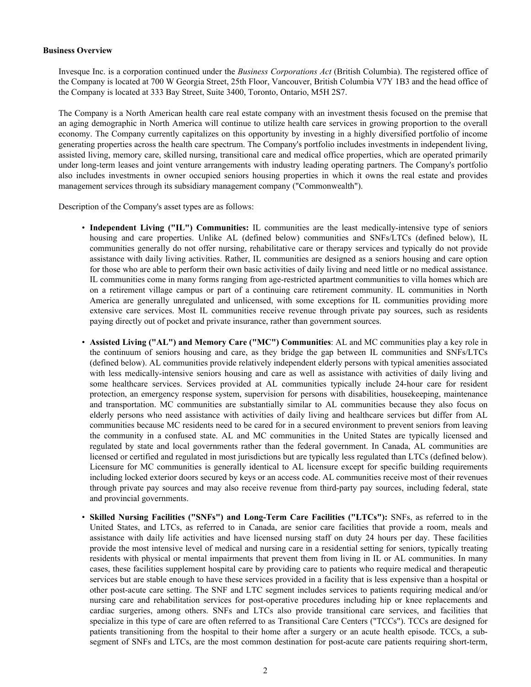#### **Business Overview**

Invesque Inc. is a corporation continued under the *Business Corporations Act* (British Columbia). The registered office of the Company is located at 700 W Georgia Street, 25th Floor, Vancouver, British Columbia V7Y 1B3 and the head office of the Company is located at 333 Bay Street, Suite 3400, Toronto, Ontario, M5H 2S7.

The Company is a North American health care real estate company with an investment thesis focused on the premise that an aging demographic in North America will continue to utilize health care services in growing proportion to the overall economy. The Company currently capitalizes on this opportunity by investing in a highly diversified portfolio of income generating properties across the health care spectrum. The Company's portfolio includes investments in independent living, assisted living, memory care, skilled nursing, transitional care and medical office properties, which are operated primarily under long-term leases and joint venture arrangements with industry leading operating partners. The Company's portfolio also includes investments in owner occupied seniors housing properties in which it owns the real estate and provides management services through its subsidiary management company ("Commonwealth").

Description of the Company's asset types are as follows:

- **Independent Living ("IL") Communities:** IL communities are the least medically-intensive type of seniors housing and care properties. Unlike AL (defined below) communities and SNFs/LTCs (defined below), IL communities generally do not offer nursing, rehabilitative care or therapy services and typically do not provide assistance with daily living activities. Rather, IL communities are designed as a seniors housing and care option for those who are able to perform their own basic activities of daily living and need little or no medical assistance. IL communities come in many forms ranging from age-restricted apartment communities to villa homes which are on a retirement village campus or part of a continuing care retirement community. IL communities in North America are generally unregulated and unlicensed, with some exceptions for IL communities providing more extensive care services. Most IL communities receive revenue through private pay sources, such as residents paying directly out of pocket and private insurance, rather than government sources.
- **Assisted Living ("AL") and Memory Care ("MC") Communities**: AL and MC communities play a key role in the continuum of seniors housing and care, as they bridge the gap between IL communities and SNFs/LTCs (defined below). AL communities provide relatively independent elderly persons with typical amenities associated with less medically-intensive seniors housing and care as well as assistance with activities of daily living and some healthcare services. Services provided at AL communities typically include 24-hour care for resident protection, an emergency response system, supervision for persons with disabilities, housekeeping, maintenance and transportation. MC communities are substantially similar to AL communities because they also focus on elderly persons who need assistance with activities of daily living and healthcare services but differ from AL communities because MC residents need to be cared for in a secured environment to prevent seniors from leaving the community in a confused state. AL and MC communities in the United States are typically licensed and regulated by state and local governments rather than the federal government. In Canada, AL communities are licensed or certified and regulated in most jurisdictions but are typically less regulated than LTCs (defined below). Licensure for MC communities is generally identical to AL licensure except for specific building requirements including locked exterior doors secured by keys or an access code. AL communities receive most of their revenues through private pay sources and may also receive revenue from third-party pay sources, including federal, state and provincial governments.
- **Skilled Nursing Facilities ("SNFs") and Long-Term Care Facilities ("LTCs"):** SNFs, as referred to in the United States, and LTCs, as referred to in Canada, are senior care facilities that provide a room, meals and assistance with daily life activities and have licensed nursing staff on duty 24 hours per day. These facilities provide the most intensive level of medical and nursing care in a residential setting for seniors, typically treating residents with physical or mental impairments that prevent them from living in IL or AL communities. In many cases, these facilities supplement hospital care by providing care to patients who require medical and therapeutic services but are stable enough to have these services provided in a facility that is less expensive than a hospital or other post-acute care setting. The SNF and LTC segment includes services to patients requiring medical and/or nursing care and rehabilitation services for post-operative procedures including hip or knee replacements and cardiac surgeries, among others. SNFs and LTCs also provide transitional care services, and facilities that specialize in this type of care are often referred to as Transitional Care Centers ("TCCs"). TCCs are designed for patients transitioning from the hospital to their home after a surgery or an acute health episode. TCCs, a subsegment of SNFs and LTCs, are the most common destination for post-acute care patients requiring short-term,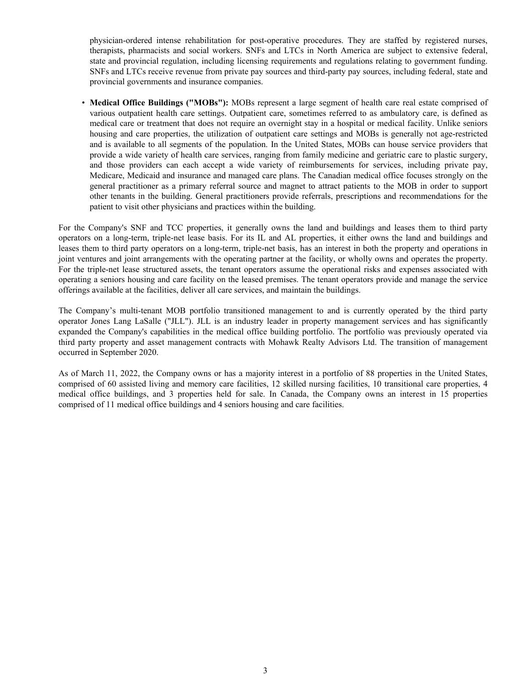physician-ordered intense rehabilitation for post-operative procedures. They are staffed by registered nurses, therapists, pharmacists and social workers. SNFs and LTCs in North America are subject to extensive federal, state and provincial regulation, including licensing requirements and regulations relating to government funding. SNFs and LTCs receive revenue from private pay sources and third-party pay sources, including federal, state and provincial governments and insurance companies.

• **Medical Office Buildings ("MOBs"):** MOBs represent a large segment of health care real estate comprised of various outpatient health care settings. Outpatient care, sometimes referred to as ambulatory care, is defined as medical care or treatment that does not require an overnight stay in a hospital or medical facility. Unlike seniors housing and care properties, the utilization of outpatient care settings and MOBs is generally not age-restricted and is available to all segments of the population. In the United States, MOBs can house service providers that provide a wide variety of health care services, ranging from family medicine and geriatric care to plastic surgery, and those providers can each accept a wide variety of reimbursements for services, including private pay, Medicare, Medicaid and insurance and managed care plans. The Canadian medical office focuses strongly on the general practitioner as a primary referral source and magnet to attract patients to the MOB in order to support other tenants in the building. General practitioners provide referrals, prescriptions and recommendations for the patient to visit other physicians and practices within the building.

For the Company's SNF and TCC properties, it generally owns the land and buildings and leases them to third party operators on a long-term, triple-net lease basis. For its IL and AL properties, it either owns the land and buildings and leases them to third party operators on a long-term, triple-net basis, has an interest in both the property and operations in joint ventures and joint arrangements with the operating partner at the facility, or wholly owns and operates the property. For the triple-net lease structured assets, the tenant operators assume the operational risks and expenses associated with operating a seniors housing and care facility on the leased premises. The tenant operators provide and manage the service offerings available at the facilities, deliver all care services, and maintain the buildings.

The Company's multi-tenant MOB portfolio transitioned management to and is currently operated by the third party operator Jones Lang LaSalle ("JLL"). JLL is an industry leader in property management services and has significantly expanded the Company's capabilities in the medical office building portfolio. The portfolio was previously operated via third party property and asset management contracts with Mohawk Realty Advisors Ltd. The transition of management occurred in September 2020.

As of March 11, 2022, the Company owns or has a majority interest in a portfolio of 88 properties in the United States, comprised of 60 assisted living and memory care facilities, 12 skilled nursing facilities, 10 transitional care properties, 4 medical office buildings, and 3 properties held for sale. In Canada, the Company owns an interest in 15 properties comprised of 11 medical office buildings and 4 seniors housing and care facilities.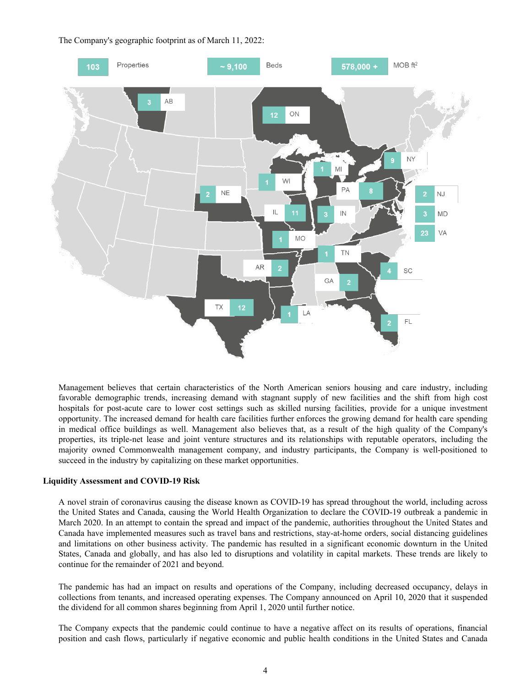The Company's geographic footprint as of March 11, 2022:



Management believes that certain characteristics of the North American seniors housing and care industry, including favorable demographic trends, increasing demand with stagnant supply of new facilities and the shift from high cost hospitals for post-acute care to lower cost settings such as skilled nursing facilities, provide for a unique investment opportunity. The increased demand for health care facilities further enforces the growing demand for health care spending in medical office buildings as well. Management also believes that, as a result of the high quality of the Company's properties, its triple-net lease and joint venture structures and its relationships with reputable operators, including the majority owned Commonwealth management company, and industry participants, the Company is well-positioned to succeed in the industry by capitalizing on these market opportunities.

#### **Liquidity Assessment and COVID-19 Risk**

A novel strain of coronavirus causing the disease known as COVID-19 has spread throughout the world, including across the United States and Canada, causing the World Health Organization to declare the COVID-19 outbreak a pandemic in March 2020. In an attempt to contain the spread and impact of the pandemic, authorities throughout the United States and Canada have implemented measures such as travel bans and restrictions, stay-at-home orders, social distancing guidelines and limitations on other business activity. The pandemic has resulted in a significant economic downturn in the United States, Canada and globally, and has also led to disruptions and volatility in capital markets. These trends are likely to continue for the remainder of 2021 and beyond.

The pandemic has had an impact on results and operations of the Company, including decreased occupancy, delays in collections from tenants, and increased operating expenses. The Company announced on April 10, 2020 that it suspended the dividend for all common shares beginning from April 1, 2020 until further notice.

The Company expects that the pandemic could continue to have a negative affect on its results of operations, financial position and cash flows, particularly if negative economic and public health conditions in the United States and Canada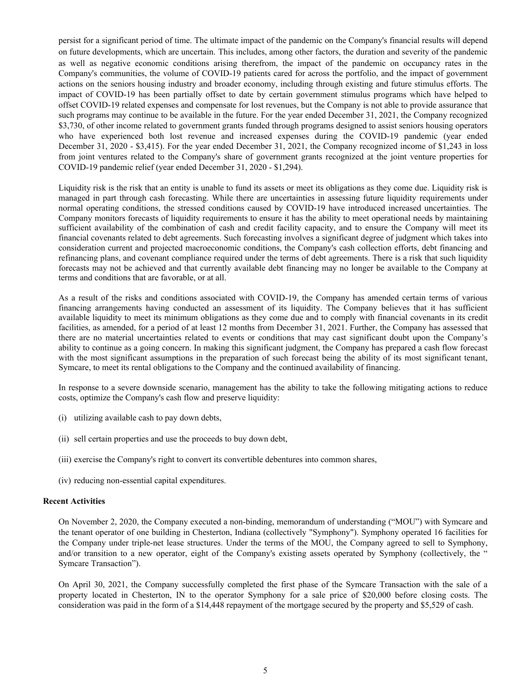persist for a significant period of time. The ultimate impact of the pandemic on the Company's financial results will depend on future developments, which are uncertain. This includes, among other factors, the duration and severity of the pandemic as well as negative economic conditions arising therefrom, the impact of the pandemic on occupancy rates in the Company's communities, the volume of COVID-19 patients cared for across the portfolio, and the impact of government actions on the seniors housing industry and broader economy, including through existing and future stimulus efforts. The impact of COVID-19 has been partially offset to date by certain government stimulus programs which have helped to offset COVID-19 related expenses and compensate for lost revenues, but the Company is not able to provide assurance that such programs may continue to be available in the future. For the year ended December 31, 2021, the Company recognized \$3,730, of other income related to government grants funded through programs designed to assist seniors housing operators who have experienced both lost revenue and increased expenses during the COVID-19 pandemic (year ended December 31, 2020 - \$3,415). For the year ended December 31, 2021, the Company recognized income of \$1,243 in loss from joint ventures related to the Company's share of government grants recognized at the joint venture properties for COVID-19 pandemic relief (year ended December 31, 2020 - \$1,294).

Liquidity risk is the risk that an entity is unable to fund its assets or meet its obligations as they come due. Liquidity risk is managed in part through cash forecasting. While there are uncertainties in assessing future liquidity requirements under normal operating conditions, the stressed conditions caused by COVID-19 have introduced increased uncertainties. The Company monitors forecasts of liquidity requirements to ensure it has the ability to meet operational needs by maintaining sufficient availability of the combination of cash and credit facility capacity, and to ensure the Company will meet its financial covenants related to debt agreements. Such forecasting involves a significant degree of judgment which takes into consideration current and projected macroeconomic conditions, the Company's cash collection efforts, debt financing and refinancing plans, and covenant compliance required under the terms of debt agreements. There is a risk that such liquidity forecasts may not be achieved and that currently available debt financing may no longer be available to the Company at terms and conditions that are favorable, or at all.

As a result of the risks and conditions associated with COVID-19, the Company has amended certain terms of various financing arrangements having conducted an assessment of its liquidity. The Company believes that it has sufficient available liquidity to meet its minimum obligations as they come due and to comply with financial covenants in its credit facilities, as amended, for a period of at least 12 months from December 31, 2021. Further, the Company has assessed that there are no material uncertainties related to events or conditions that may cast significant doubt upon the Company's ability to continue as a going concern. In making this significant judgment, the Company has prepared a cash flow forecast with the most significant assumptions in the preparation of such forecast being the ability of its most significant tenant, Symcare, to meet its rental obligations to the Company and the continued availability of financing.

In response to a severe downside scenario, management has the ability to take the following mitigating actions to reduce costs, optimize the Company's cash flow and preserve liquidity:

- (i) utilizing available cash to pay down debts,
- (ii) sell certain properties and use the proceeds to buy down debt,
- (iii) exercise the Company's right to convert its convertible debentures into common shares,
- (iv) reducing non-essential capital expenditures.

#### **Recent Activities**

On November 2, 2020, the Company executed a non-binding, memorandum of understanding ("MOU") with Symcare and the tenant operator of one building in Chesterton, Indiana (collectively "Symphony"). Symphony operated 16 facilities for the Company under triple-net lease structures. Under the terms of the MOU, the Company agreed to sell to Symphony, and/or transition to a new operator, eight of the Company's existing assets operated by Symphony (collectively, the " Symcare Transaction").

On April 30, 2021, the Company successfully completed the first phase of the Symcare Transaction with the sale of a property located in Chesterton, IN to the operator Symphony for a sale price of \$20,000 before closing costs. The consideration was paid in the form of a \$14,448 repayment of the mortgage secured by the property and \$5,529 of cash.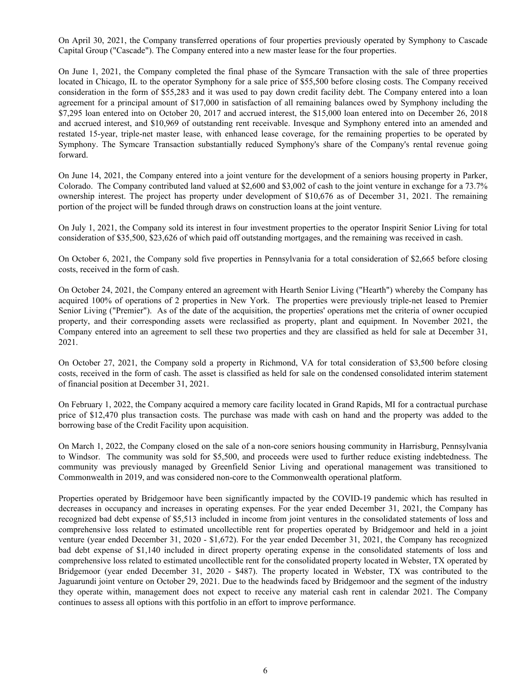On April 30, 2021, the Company transferred operations of four properties previously operated by Symphony to Cascade Capital Group ("Cascade"). The Company entered into a new master lease for the four properties.

On June 1, 2021, the Company completed the final phase of the Symcare Transaction with the sale of three properties located in Chicago, IL to the operator Symphony for a sale price of \$55,500 before closing costs. The Company received consideration in the form of \$55,283 and it was used to pay down credit facility debt. The Company entered into a loan agreement for a principal amount of \$17,000 in satisfaction of all remaining balances owed by Symphony including the \$7,295 loan entered into on October 20, 2017 and accrued interest, the \$15,000 loan entered into on December 26, 2018 and accrued interest, and \$10,969 of outstanding rent receivable. Invesque and Symphony entered into an amended and restated 15-year, triple-net master lease, with enhanced lease coverage, for the remaining properties to be operated by Symphony. The Symcare Transaction substantially reduced Symphony's share of the Company's rental revenue going forward.

On June 14, 2021, the Company entered into a joint venture for the development of a seniors housing property in Parker, Colorado. The Company contributed land valued at \$2,600 and \$3,002 of cash to the joint venture in exchange for a 73.7% ownership interest. The project has property under development of \$10,676 as of December 31, 2021. The remaining portion of the project will be funded through draws on construction loans at the joint venture.

On July 1, 2021, the Company sold its interest in four investment properties to the operator Inspirit Senior Living for total consideration of \$35,500, \$23,626 of which paid off outstanding mortgages, and the remaining was received in cash.

On October 6, 2021, the Company sold five properties in Pennsylvania for a total consideration of \$2,665 before closing costs, received in the form of cash.

On October 24, 2021, the Company entered an agreement with Hearth Senior Living ("Hearth") whereby the Company has acquired 100% of operations of 2 properties in New York. The properties were previously triple-net leased to Premier Senior Living ("Premier"). As of the date of the acquisition, the properties' operations met the criteria of owner occupied property, and their corresponding assets were reclassified as property, plant and equipment. In November 2021, the Company entered into an agreement to sell these two properties and they are classified as held for sale at December 31, 2021.

On October 27, 2021, the Company sold a property in Richmond, VA for total consideration of \$3,500 before closing costs, received in the form of cash. The asset is classified as held for sale on the condensed consolidated interim statement of financial position at December 31, 2021.

On February 1, 2022, the Company acquired a memory care facility located in Grand Rapids, MI for a contractual purchase price of \$12,470 plus transaction costs. The purchase was made with cash on hand and the property was added to the borrowing base of the Credit Facility upon acquisition.

On March 1, 2022, the Company closed on the sale of a non-core seniors housing community in Harrisburg, Pennsylvania to Windsor. The community was sold for \$5,500, and proceeds were used to further reduce existing indebtedness. The community was previously managed by Greenfield Senior Living and operational management was transitioned to Commonwealth in 2019, and was considered non-core to the Commonwealth operational platform.

Properties operated by Bridgemoor have been significantly impacted by the COVID-19 pandemic which has resulted in decreases in occupancy and increases in operating expenses. For the year ended December 31, 2021, the Company has recognized bad debt expense of \$5,513 included in income from joint ventures in the consolidated statements of loss and comprehensive loss related to estimated uncollectible rent for properties operated by Bridgemoor and held in a joint venture (year ended December 31, 2020 - \$1,672). For the year ended December 31, 2021, the Company has recognized bad debt expense of \$1,140 included in direct property operating expense in the consolidated statements of loss and comprehensive loss related to estimated uncollectible rent for the consolidated property located in Webster, TX operated by Bridgemoor (year ended December 31, 2020 - \$487). The property located in Webster, TX was contributed to the Jaguarundi joint venture on October 29, 2021. Due to the headwinds faced by Bridgemoor and the segment of the industry they operate within, management does not expect to receive any material cash rent in calendar 2021. The Company continues to assess all options with this portfolio in an effort to improve performance.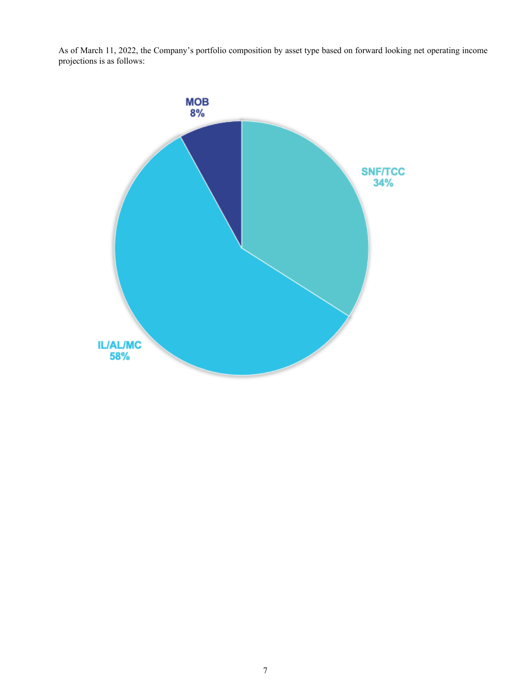As of March 11, 2022, the Company's portfolio composition by asset type based on forward looking net operating income projections is as follows:

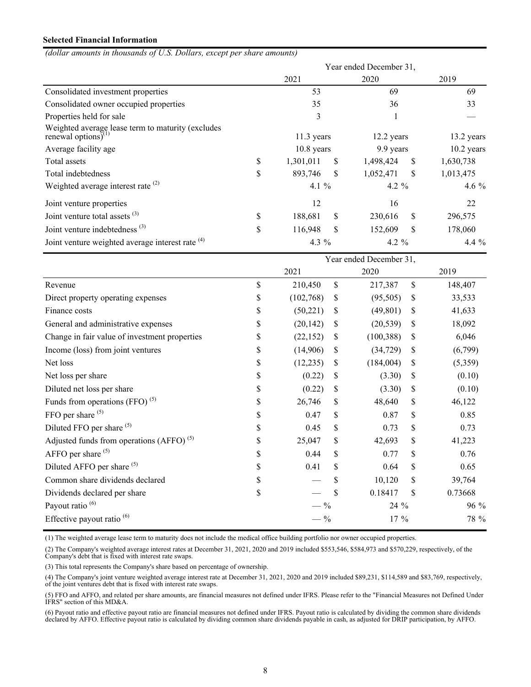## **Selected Financial Information**

*(dollar amounts in thousands of U.S. Dollars, except per share amounts)*

|                                                                          |                 |     | Year ended December 31, |    |              |
|--------------------------------------------------------------------------|-----------------|-----|-------------------------|----|--------------|
|                                                                          | 2021            |     | 2020                    |    | 2019         |
| Consolidated investment properties                                       | 53              |     | 69                      |    | 69           |
| Consolidated owner occupied properties                                   | 35              |     | 36                      | 33 |              |
| Properties held for sale                                                 | 3               |     |                         |    |              |
| Weighted average lease term to maturity (excludes renewal options) $(1)$ | $11.3$ years    |     | 12.2 years              |    | 13.2 years   |
| Average facility age                                                     | $10.8$ years    |     | 9.9 years               |    | $10.2$ years |
| Total assets                                                             | \$<br>1,301,011 | \$. | 1,498,424               | \$ | 1,630,738    |
| Total indebtedness                                                       | \$<br>893,746   | \$. | 1,052,471               | S  | 1,013,475    |
| Weighted average interest rate $(2)$                                     | 4.1 %           |     | 4.2 $%$                 |    | 4.6 $%$      |
| Joint venture properties                                                 | 12              |     | 16                      |    | 22           |
| Joint venture total assets $(3)$                                         | \$<br>188,681   | \$  | 230,616                 | \$ | 296,575      |
| Joint venture indebtedness <sup>(3)</sup>                                | \$<br>116,948   | \$  | 152,609                 | S  | 178,060      |
| Joint venture weighted average interest rate <sup>(4)</sup>              | 4.3 $%$         |     | 4.2 $%$                 |    | 4.4 $%$      |
|                                                                          |                 |     | Year ended December 31, |    |              |
|                                                                          | 2021            |     | 2020                    |    | 2019         |
| Revenue                                                                  | \$<br>210,450   | \$  | 217,387                 | \$ | 148,407      |
| Direct property operating expenses                                       | \$<br>(102,768) | S   | (95, 505)               | \$ | 33,533       |

| Revenue                                       | S  | 210,450    | S  | 217,387    | S  | 148,407 |
|-----------------------------------------------|----|------------|----|------------|----|---------|
| Direct property operating expenses            | \$ | (102, 768) | S  | (95, 505)  | S  | 33,533  |
| Finance costs                                 | \$ | (50, 221)  | S  | (49, 801)  | S  | 41,633  |
| General and administrative expenses           | \$ | (20, 142)  | S  | (20, 539)  | S  | 18,092  |
| Change in fair value of investment properties | \$ | (22, 152)  | S  | (100, 388) | S  | 6,046   |
| Income (loss) from joint ventures             | \$ | (14,906)   | S  | (34, 729)  | S  | (6,799) |
| Net loss                                      | \$ | (12, 235)  | \$ | (184,004)  | S  | (5,359) |
| Net loss per share                            | \$ | (0.22)     | S  | (3.30)     | S  | (0.10)  |
| Diluted net loss per share                    | \$ | (0.22)     | S  | (3.30)     | S  | (0.10)  |
| Funds from operations $(FFO)^{(5)}$           | \$ | 26,746     | S  | 48,640     | \$ | 46,122  |
| FFO per share $(5)$                           | \$ | 0.47       | \$ | 0.87       | \$ | 0.85    |
| Diluted FFO per share <sup>(5)</sup>          | \$ | 0.45       | \$ | 0.73       | \$ | 0.73    |
| Adjusted funds from operations $(AFFO)^{(5)}$ | \$ | 25,047     | S  | 42,693     | \$ | 41,223  |
| AFFO per share $(5)$                          | \$ | 0.44       | S  | 0.77       | \$ | 0.76    |
| Diluted AFFO per share <sup>(5)</sup>         | \$ | 0.41       | \$ | 0.64       | \$ | 0.65    |
| Common share dividends declared               | \$ |            |    | 10,120     | \$ | 39,764  |
| Dividends declared per share                  | \$ |            |    | 0.18417    | \$ | 0.73668 |
| Payout ratio <sup>(6)</sup>                   |    | $-$ %      |    | 24 %       |    | 96 %    |
| Effective payout ratio <sup>(6)</sup>         |    | $-$ %      |    | $17\%$     |    | 78 %    |
|                                               |    |            |    |            |    |         |

(1) The weighted average lease term to maturity does not include the medical office building portfolio nor owner occupied properties.

(2) The Company's weighted average interest rates at December 31, 2021, 2020 and 2019 included \$553,546, \$584,973 and \$570,229, respectively, of the Company's debt that is fixed with interest rate swaps.

(3) This total represents the Company's share based on percentage of ownership.

(4) The Company's joint venture weighted average interest rate at December 31, 2021, 2020 and 2019 included \$89,231, \$114,589 and \$83,769, respectively, of the joint ventures debt that is fixed with interest rate swaps.

(5) FFO and AFFO, and related per share amounts, are financial measures not defined under IFRS. Please refer to the "Financial Measures not Defined Under IFRS" section of this MD&A.

(6) Payout ratio and effective payout ratio are financial measures not defined under IFRS. Payout ratio is calculated by dividing the common share dividends declared by AFFO. Effective payout ratio is calculated by dividing common share dividends payable in cash, as adjusted for DRIP participation, by AFFO.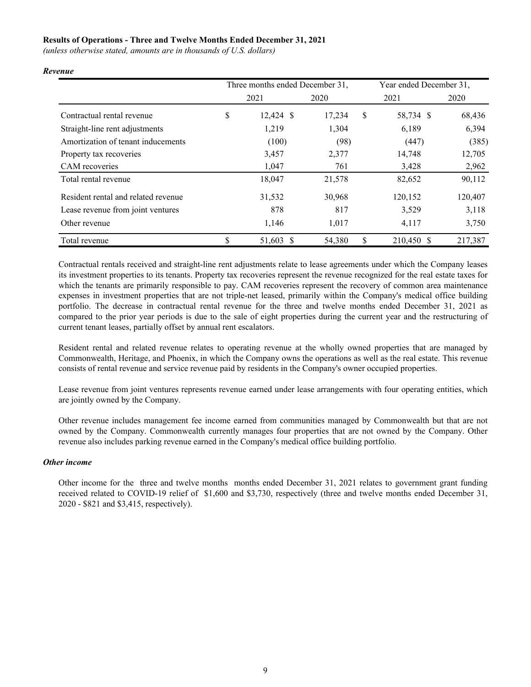## **Results of Operations - Three and Twelve Months Ended December 31, 2021**

*(unless otherwise stated, amounts are in thousands of U.S. dollars)*

|                                     | Three months ended December 31, |        | Year ended December 31, |         |
|-------------------------------------|---------------------------------|--------|-------------------------|---------|
|                                     | 2021                            | 2020   | 2021                    | 2020    |
| Contractual rental revenue          | \$<br>$12,424$ \$               | 17,234 | \$<br>58,734 \$         | 68,436  |
| Straight-line rent adjustments      | 1,219                           | 1,304  | 6,189                   | 6,394   |
| Amortization of tenant inducements  | (100)                           | (98)   | (447)                   | (385)   |
| Property tax recoveries             | 3,457                           | 2,377  | 14,748                  | 12,705  |
| CAM recoveries                      | 1,047                           | 761    | 3,428                   | 2,962   |
| Total rental revenue                | 18,047                          | 21,578 | 82,652                  | 90,112  |
| Resident rental and related revenue | 31,532                          | 30,968 | 120,152                 | 120,407 |
| Lease revenue from joint ventures   | 878                             | 817    | 3,529                   | 3,118   |
| Other revenue                       | 1,146                           | 1,017  | 4,117                   | 3,750   |
| Total revenue                       | \$<br>51,603 \$                 | 54,380 | \$<br>210,450 \$        | 217,387 |

*Revenue*

Contractual rentals received and straight-line rent adjustments relate to lease agreements under which the Company leases its investment properties to its tenants. Property tax recoveries represent the revenue recognized for the real estate taxes for which the tenants are primarily responsible to pay. CAM recoveries represent the recovery of common area maintenance expenses in investment properties that are not triple-net leased, primarily within the Company's medical office building portfolio. The decrease in contractual rental revenue for the three and twelve months ended December 31, 2021 as compared to the prior year periods is due to the sale of eight properties during the current year and the restructuring of current tenant leases, partially offset by annual rent escalators.

Resident rental and related revenue relates to operating revenue at the wholly owned properties that are managed by Commonwealth, Heritage, and Phoenix, in which the Company owns the operations as well as the real estate. This revenue consists of rental revenue and service revenue paid by residents in the Company's owner occupied properties.

Lease revenue from joint ventures represents revenue earned under lease arrangements with four operating entities, which are jointly owned by the Company.

Other revenue includes management fee income earned from communities managed by Commonwealth but that are not owned by the Company. Commonwealth currently manages four properties that are not owned by the Company. Other revenue also includes parking revenue earned in the Company's medical office building portfolio.

## *Other income*

Other income for the three and twelve months months ended December 31, 2021 relates to government grant funding received related to COVID-19 relief of \$1,600 and \$3,730, respectively (three and twelve months ended December 31, 2020 - \$821 and \$3,415, respectively).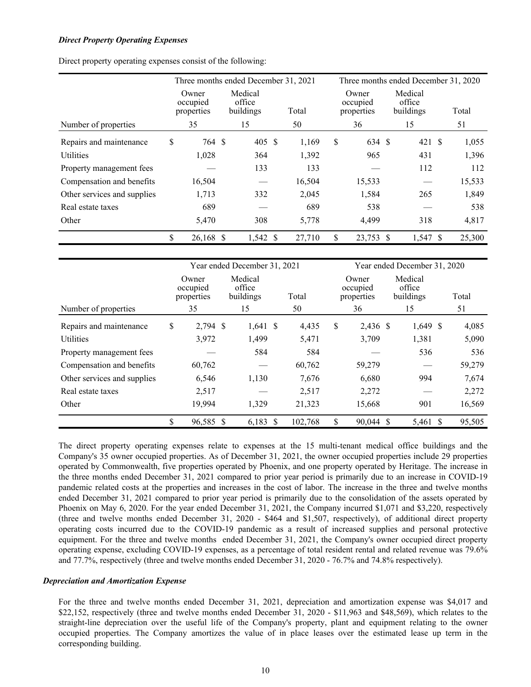#### *Direct Property Operating Expenses*

|  |  |  | Direct property operating expenses consist of the following: |
|--|--|--|--------------------------------------------------------------|
|  |  |  |                                                              |

|                             |                                 |           |                                | Three months ended December 31, 2021 |       |        | Three months ended December 31, 2020 |        |    |                                |  |        |  |  |
|-----------------------------|---------------------------------|-----------|--------------------------------|--------------------------------------|-------|--------|--------------------------------------|--------|----|--------------------------------|--|--------|--|--|
|                             | Owner<br>occupied<br>properties |           | Medical<br>office<br>buildings |                                      | Total |        | Owner<br>occupied<br>properties      |        |    | Medical<br>office<br>buildings |  | Total  |  |  |
| Number of properties        |                                 | 35        |                                | 15                                   |       | 50     |                                      | 36     |    | 15                             |  | 51     |  |  |
| Repairs and maintenance     | \$                              | 764 \$    |                                | 405 \$                               |       | 1,169  | \$                                   | 634 \$ |    | 421S                           |  | 1,055  |  |  |
| <b>Utilities</b>            |                                 | 1,028     |                                | 364                                  |       | 1,392  |                                      | 965    |    | 431                            |  | 1,396  |  |  |
| Property management fees    |                                 |           |                                | 133                                  |       | 133    |                                      |        |    | 112                            |  | 112    |  |  |
| Compensation and benefits   |                                 | 16,504    |                                |                                      |       | 16,504 |                                      | 15,533 |    |                                |  | 15,533 |  |  |
| Other services and supplies |                                 | 1,713     |                                | 332                                  |       | 2,045  |                                      | 1,584  |    | 265                            |  | 1,849  |  |  |
| Real estate taxes           |                                 | 689       |                                |                                      |       | 689    |                                      | 538    |    |                                |  | 538    |  |  |
| Other                       |                                 | 5,470     |                                | 308                                  |       | 5,778  |                                      | 4,499  |    | 318                            |  | 4,817  |  |  |
|                             | \$                              | 26,168 \$ |                                | 1,542 \$                             |       | 27,710 | \$                                   | 23,753 | -S | 1,547 \$                       |  | 25,300 |  |  |

|                             |                                       | Year ended December 31, 2021         |             | Year ended December 31, 2020 |                                       |          |                                      |  |             |  |
|-----------------------------|---------------------------------------|--------------------------------------|-------------|------------------------------|---------------------------------------|----------|--------------------------------------|--|-------------|--|
| Number of properties        | Owner<br>occupied<br>properties<br>35 | Medical<br>office<br>buildings<br>15 | Total<br>50 |                              | Owner<br>occupied<br>properties<br>36 |          | Medical<br>office<br>buildings<br>15 |  | Total<br>51 |  |
|                             |                                       |                                      |             |                              |                                       |          |                                      |  |             |  |
| Repairs and maintenance     | \$<br>2,794 \$                        | $1,641$ \$                           | 4,435       | \$                           | 2,436 \$                              |          | $1,649$ \$                           |  | 4,085       |  |
| <b>Utilities</b>            | 3,972                                 | 1,499                                | 5,471       |                              | 3,709                                 |          | 1,381                                |  | 5,090       |  |
| Property management fees    |                                       | 584                                  | 584         |                              |                                       |          | 536                                  |  | 536         |  |
| Compensation and benefits   | 60,762                                |                                      | 60,762      |                              | 59,279                                |          |                                      |  | 59,279      |  |
| Other services and supplies | 6,546                                 | 1,130                                | 7,676       |                              | 6,680                                 |          | 994                                  |  | 7,674       |  |
| Real estate taxes           | 2,517                                 |                                      | 2,517       |                              | 2,272                                 |          |                                      |  | 2,272       |  |
| Other                       | 19,994                                | 1,329                                | 21,323      |                              | 15,668                                |          | 901                                  |  | 16,569      |  |
|                             | \$<br>96,585 \$                       | $6,183$ \$                           | 102,768     | \$                           | 90,044                                | <b>S</b> | 5,461 \$                             |  | 95,505      |  |

The direct property operating expenses relate to expenses at the 15 multi-tenant medical office buildings and the Company's 35 owner occupied properties. As of December 31, 2021, the owner occupied properties include 29 properties operated by Commonwealth, five properties operated by Phoenix, and one property operated by Heritage. The increase in the three months ended December 31, 2021 compared to prior year period is primarily due to an increase in COVID-19 pandemic related costs at the properties and increases in the cost of labor. The increase in the three and twelve months ended December 31, 2021 compared to prior year period is primarily due to the consolidation of the assets operated by Phoenix on May 6, 2020. For the year ended December 31, 2021, the Company incurred \$1,071 and \$3,220, respectively (three and twelve months ended December 31, 2020 - \$464 and \$1,507, respectively), of additional direct property operating costs incurred due to the COVID-19 pandemic as a result of increased supplies and personal protective equipment. For the three and twelve months ended December 31, 2021, the Company's owner occupied direct property operating expense, excluding COVID-19 expenses, as a percentage of total resident rental and related revenue was 79.6% and 77.7%, respectively (three and twelve months ended December 31, 2020 - 76.7% and 74.8% respectively).

#### *Depreciation and Amortization Expense*

For the three and twelve months ended December 31, 2021, depreciation and amortization expense was \$4,017 and \$22,152, respectively (three and twelve months ended December 31, 2020 - \$11,963 and \$48,569), which relates to the straight-line depreciation over the useful life of the Company's property, plant and equipment relating to the owner occupied properties. The Company amortizes the value of in place leases over the estimated lease up term in the corresponding building.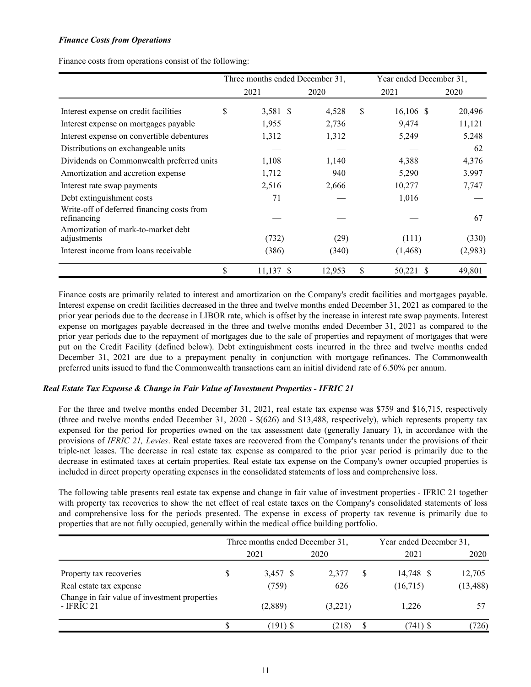## *Finance Costs from Operations*

Finance costs from operations consist of the following:

|                                                           |      | Three months ended December 31, |      |        |   | Year ended December 31, |    |         |
|-----------------------------------------------------------|------|---------------------------------|------|--------|---|-------------------------|----|---------|
|                                                           | 2021 |                                 | 2020 |        |   | 2021                    |    | 2020    |
| Interest expense on credit facilities                     | S    | 3,581 \$                        |      | 4,528  | S | $16,106$ \$             |    | 20,496  |
| Interest expense on mortgages payable                     |      | 1,955                           |      | 2,736  |   | 9,474                   |    | 11,121  |
| Interest expense on convertible debentures                |      | 1,312                           |      | 1,312  |   | 5,249                   |    | 5,248   |
| Distributions on exchangeable units                       |      |                                 |      |        |   |                         |    | 62      |
| Dividends on Commonwealth preferred units                 |      | 1,108                           |      | 1,140  |   | 4,388                   |    | 4,376   |
| Amortization and accretion expense                        |      | 1,712                           |      | 940    |   | 5,290                   |    | 3,997   |
| Interest rate swap payments                               |      | 2,516                           |      | 2,666  |   | 10,277                  |    | 7,747   |
| Debt extinguishment costs                                 |      | 71                              |      |        |   | 1,016                   |    |         |
| Write-off of deferred financing costs from<br>refinancing |      |                                 |      |        |   |                         |    | 67      |
| Amortization of mark-to-market debt<br>adjustments        |      | (732)                           |      | (29)   |   | (111)                   |    | (330)   |
| Interest income from loans receivable                     |      | (386)                           |      | (340)  |   | (1, 468)                |    | (2,983) |
|                                                           | \$   | $11,137$ \$                     |      | 12,953 | S | 50,221                  | -S | 49,801  |

Finance costs are primarily related to interest and amortization on the Company's credit facilities and mortgages payable. Interest expense on credit facilities decreased in the three and twelve months ended December 31, 2021 as compared to the prior year periods due to the decrease in LIBOR rate, which is offset by the increase in interest rate swap payments. Interest expense on mortgages payable decreased in the three and twelve months ended December 31, 2021 as compared to the prior year periods due to the repayment of mortgages due to the sale of properties and repayment of mortgages that were put on the Credit Facility (defined below). Debt extinguishment costs incurred in the three and twelve months ended December 31, 2021 are due to a prepayment penalty in conjunction with mortgage refinances. The Commonwealth preferred units issued to fund the Commonwealth transactions earn an initial dividend rate of 6.50% per annum.

#### *Real Estate Tax Expense & Change in Fair Value of Investment Properties - IFRIC 21*

For the three and twelve months ended December 31, 2021, real estate tax expense was \$759 and \$16,715, respectively (three and twelve months ended December 31, 2020 - \$(626) and \$13,488, respectively), which represents property tax expensed for the period for properties owned on the tax assessment date (generally January 1), in accordance with the provisions of *IFRIC 21, Levies*. Real estate taxes are recovered from the Company's tenants under the provisions of their triple-net leases. The decrease in real estate tax expense as compared to the prior year period is primarily due to the decrease in estimated taxes at certain properties. Real estate tax expense on the Company's owner occupied properties is included in direct property operating expenses in the consolidated statements of loss and comprehensive loss.

The following table presents real estate tax expense and change in fair value of investment properties - IFRIC 21 together with property tax recoveries to show the net effect of real estate taxes on the Company's consolidated statements of loss and comprehensive loss for the periods presented. The expense in excess of property tax revenue is primarily due to properties that are not fully occupied, generally within the medical office building portfolio.

|                                                                    | Three months ended December 31, |         | Year ended December 31, |           |  |
|--------------------------------------------------------------------|---------------------------------|---------|-------------------------|-----------|--|
|                                                                    | 2021                            | 2020    | 2021                    | 2020      |  |
| Property tax recoveries                                            | 3,457 \$                        | 2,377   | 14,748 \$               | 12,705    |  |
| Real estate tax expense                                            | (759)                           | 626     | (16,715)                | (13, 488) |  |
| Change in fair value of investment properties<br>- <b>IFRIC 21</b> | (2,889)                         | (3,221) | 1,226                   |           |  |
|                                                                    | 191) S                          | (218)   | $(741)$ \$              | 726)      |  |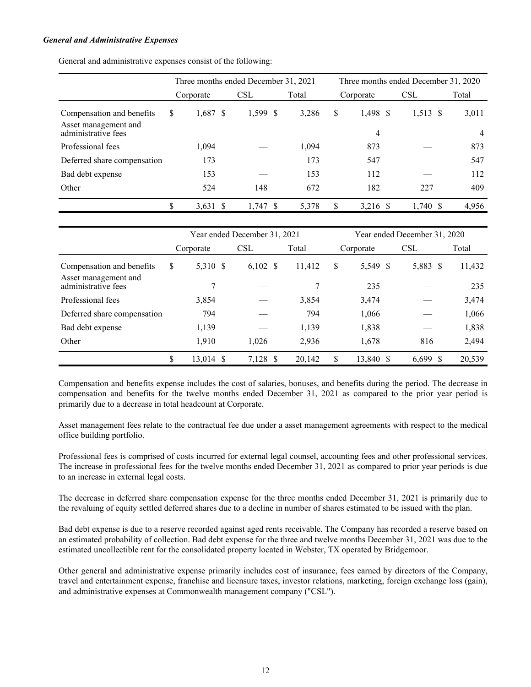#### *General and Administrative Expenses*

General and administrative expenses consist of the following:

|                                             | Three months ended December 31, 2021 |            |       | Three months ended December 31, 2020 |            |            |       |  |  |  |
|---------------------------------------------|--------------------------------------|------------|-------|--------------------------------------|------------|------------|-------|--|--|--|
|                                             | Corporate                            | <b>CSL</b> | Total |                                      | Corporate  | <b>CSL</b> | Total |  |  |  |
| Compensation and benefits                   | \$<br>$1,687$ \$                     | 1,599 \$   | 3,286 | \$                                   | $1,498$ \$ | $1,513$ \$ | 3,011 |  |  |  |
| Asset management and<br>administrative fees |                                      |            |       |                                      | 4          |            | 4     |  |  |  |
| Professional fees                           | 1.094                                |            | 1,094 |                                      | 873        |            | 873   |  |  |  |
| Deferred share compensation                 | 173                                  |            | 173   |                                      | 547        |            | 547   |  |  |  |
| Bad debt expense                            | 153                                  |            | 153   |                                      | 112        |            | 112   |  |  |  |
| Other                                       | 524                                  | 148        | 672   |                                      | 182        | 227        | 409   |  |  |  |
|                                             | $3,631$ \$                           | $1,747$ \$ | 5,378 | \$                                   | $3,216$ \$ | $1,740$ \$ | 4,956 |  |  |  |

|                                             |                 | Year ended December 31, 2021 |        | Year ended December 31, 2020 |           |            |        |  |  |  |
|---------------------------------------------|-----------------|------------------------------|--------|------------------------------|-----------|------------|--------|--|--|--|
|                                             | Corporate       | <b>CSL</b>                   | Total  |                              | Corporate | <b>CSL</b> | Total  |  |  |  |
| Compensation and benefits                   | \$<br>5,310 \$  | $6,102$ \$                   | 11,412 | \$                           | 5,549 \$  | 5,883 \$   | 11,432 |  |  |  |
| Asset management and<br>administrative fees |                 |                              |        |                              | 235       |            | 235    |  |  |  |
| Professional fees                           | 3,854           |                              | 3,854  |                              | 3,474     |            | 3,474  |  |  |  |
| Deferred share compensation                 | 794             |                              | 794    |                              | 1,066     |            | 1,066  |  |  |  |
| Bad debt expense                            | 1,139           |                              | 1,139  |                              | 1,838     |            | 1,838  |  |  |  |
| Other                                       | 1,910           | 1,026                        | 2,936  |                              | 1,678     | 816        | 2,494  |  |  |  |
|                                             | \$<br>13,014 \$ | 7,128 \$                     | 20,142 | \$                           | 13,840 \$ | $6,699$ \$ | 20,539 |  |  |  |

Compensation and benefits expense includes the cost of salaries, bonuses, and benefits during the period. The decrease in compensation and benefits for the twelve months ended December 31, 2021 as compared to the prior year period is primarily due to a decrease in total headcount at Corporate.

Asset management fees relate to the contractual fee due under a asset management agreements with respect to the medical office building portfolio.

Professional fees is comprised of costs incurred for external legal counsel, accounting fees and other professional services. The increase in professional fees for the twelve months ended December 31, 2021 as compared to prior year periods is due to an increase in external legal costs.

The decrease in deferred share compensation expense for the three months ended December 31, 2021 is primarily due to the revaluing of equity settled deferred shares due to a decline in number of shares estimated to be issued with the plan.

Bad debt expense is due to a reserve recorded against aged rents receivable. The Company has recorded a reserve based on an estimated probability of collection. Bad debt expense for the three and twelve months December 31, 2021 was due to the estimated uncollectible rent for the consolidated property located in Webster, TX operated by Bridgemoor.

Other general and administrative expense primarily includes cost of insurance, fees earned by directors of the Company, travel and entertainment expense, franchise and licensure taxes, investor relations, marketing, foreign exchange loss (gain), and administrative expenses at Commonwealth management company ("CSL").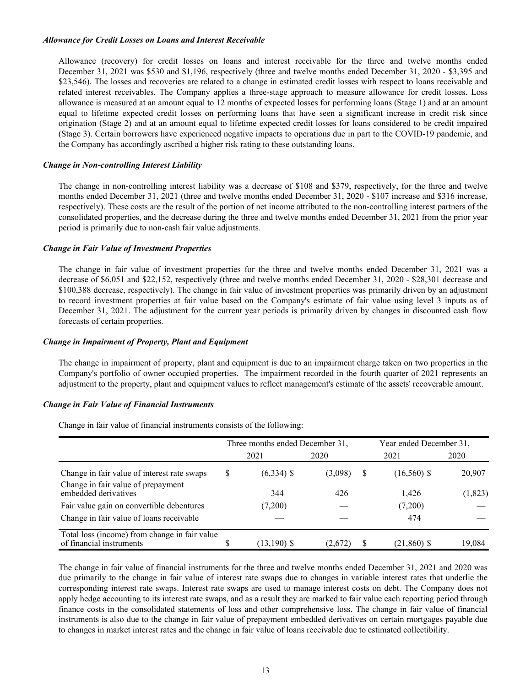#### *Allowance for Credit Losses on Loans and Interest Receivable*

Allowance (recovery) for credit losses on loans and interest receivable for the three and twelve months ended December 31, 2021 was \$530 and \$1,196, respectively (three and twelve months ended December 31, 2020 - \$3,395 and \$23,546). The losses and recoveries are related to a change in estimated credit losses with respect to loans receivable and related interest receivables. The Company applies a three-stage approach to measure allowance for credit losses. Loss allowance is measured at an amount equal to 12 months of expected losses for performing loans (Stage 1) and at an amount equal to lifetime expected credit losses on performing loans that have seen a significant increase in credit risk since origination (Stage 2) and at an amount equal to lifetime expected credit losses for loans considered to be credit impaired (Stage 3). Certain borrowers have experienced negative impacts to operations due in part to the COVID-19 pandemic, and the Company has accordingly ascribed a higher risk rating to these outstanding loans.

## *Change in Non-controlling Interest Liability*

The change in non-controlling interest liability was a decrease of \$108 and \$379, respectively, for the three and twelve months ended December 31, 2021 (three and twelve months ended December 31, 2020 - \$107 increase and \$316 increase, respectively). These costs are the result of the portion of net income attributed to the non-controlling interest partners of the consolidated properties, and the decrease during the three and twelve months ended December 31, 2021 from the prior year period is primarily due to non-cash fair value adjustments.

#### *Change in Fair Value of Investment Properties*

The change in fair value of investment properties for the three and twelve months ended December 31, 2021 was a decrease of \$6,051 and \$22,152, respectively (three and twelve months ended December 31, 2020 - \$28,301 decrease and \$100,388 decrease, respectively). The change in fair value of investment properties was primarily driven by an adjustment to record investment properties at fair value based on the Company's estimate of fair value using level 3 inputs as of December 31, 2021. The adjustment for the current year periods is primarily driven by changes in discounted cash flow forecasts of certain properties.

#### *Change in Impairment of Property, Plant and Equipment*

The change in impairment of property, plant and equipment is due to an impairment charge taken on two properties in the Company's portfolio of owner occupied properties. The impairment recorded in the fourth quarter of 2021 represents an adjustment to the property, plant and equipment values to reflect management's estimate of the assets' recoverable amount.

#### *Change in Fair Value of Financial Instruments*

Change in fair value of financial instruments consists of the following:

|                                                                           |   | Three months ended December 31, |         |   | Year ended December 31, |          |
|---------------------------------------------------------------------------|---|---------------------------------|---------|---|-------------------------|----------|
|                                                                           |   | 2021                            | 2020    |   | 2021                    | 2020     |
| Change in fair value of interest rate swaps                               | S | $(6,334)$ \$                    | (3.098) | S | $(16,560)$ \$           | 20,907   |
| Change in fair value of prepayment<br>embedded derivatives                |   | 344                             | 426     |   | 1,426                   | (1, 823) |
| Fair value gain on convertible debentures                                 |   | (7,200)                         |         |   | (7,200)                 |          |
| Change in fair value of loans receivable                                  |   |                                 |         |   | 474                     |          |
| Total loss (income) from change in fair value<br>of financial instruments |   | $(13,190)$ \$                   | (2,672) |   | $(21,860)$ \$           | 19,084   |

The change in fair value of financial instruments for the three and twelve months ended December 31, 2021 and 2020 was due primarily to the change in fair value of interest rate swaps due to changes in variable interest rates that underlie the corresponding interest rate swaps. Interest rate swaps are used to manage interest costs on debt. The Company does not apply hedge accounting to its interest rate swaps, and as a result they are marked to fair value each reporting period through finance costs in the consolidated statements of loss and other comprehensive loss. The change in fair value of financial instruments is also due to the change in fair value of prepayment embedded derivatives on certain mortgages payable due to changes in market interest rates and the change in fair value of loans receivable due to estimated collectibility.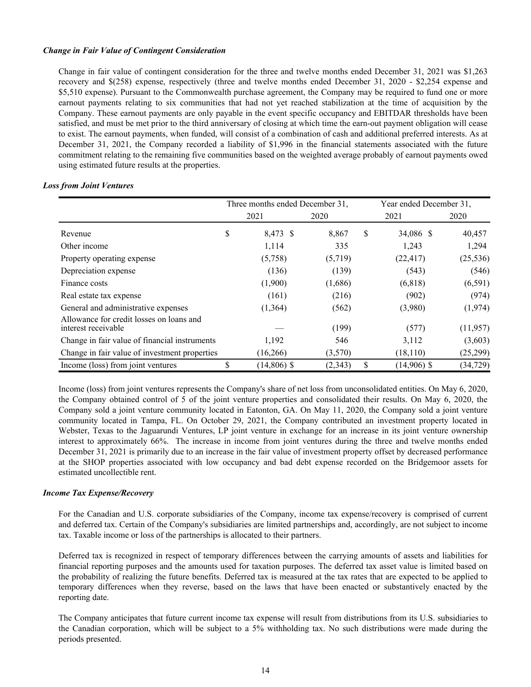## *Change in Fair Value of Contingent Consideration*

Change in fair value of contingent consideration for the three and twelve months ended December 31, 2021 was \$1,263 recovery and \$(258) expense, respectively (three and twelve months ended December 31, 2020 - \$2,254 expense and \$5,510 expense). Pursuant to the Commonwealth purchase agreement, the Company may be required to fund one or more earnout payments relating to six communities that had not yet reached stabilization at the time of acquisition by the Company. These earnout payments are only payable in the event specific occupancy and EBITDAR thresholds have been satisfied, and must be met prior to the third anniversary of closing at which time the earn-out payment obligation will cease to exist. The earnout payments, when funded, will consist of a combination of cash and additional preferred interests. As at December 31, 2021, the Company recorded a liability of \$1,996 in the financial statements associated with the future commitment relating to the remaining five communities based on the weighted average probably of earnout payments owed using estimated future results at the properties.

|                                                                 | Three months ended December 31, |          | Year ended December 31, |           |  |
|-----------------------------------------------------------------|---------------------------------|----------|-------------------------|-----------|--|
|                                                                 | 2021                            | 2020     | 2021                    | 2020      |  |
| Revenue                                                         | \$<br>8,473 \$                  | 8,867    | \$<br>34,086 \$         | 40,457    |  |
| Other income                                                    | 1,114                           | 335      | 1,243                   | 1,294     |  |
| Property operating expense                                      | (5,758)                         | (5,719)  | (22, 417)               | (25, 536) |  |
| Depreciation expense                                            | (136)                           | (139)    | (543)                   | (546)     |  |
| Finance costs                                                   | (1,900)                         | (1,686)  | (6,818)                 | (6,591)   |  |
| Real estate tax expense                                         | (161)                           | (216)    | (902)                   | (974)     |  |
| General and administrative expenses                             | (1,364)                         | (562)    | (3,980)                 | (1,974)   |  |
| Allowance for credit losses on loans and<br>interest receivable |                                 | (199)    | (577)                   | (11, 957) |  |
| Change in fair value of financial instruments                   | 1,192                           | 546      | 3,112                   | (3,603)   |  |
| Change in fair value of investment properties                   | (16,266)                        | (3,570)  | (18, 110)               | (25,299)  |  |
| Income (loss) from joint ventures                               | \$<br>$(14,806)$ \$             | (2, 343) | \$<br>$(14,906)$ \$     | (34, 729) |  |

#### *Loss from Joint Ventures*

Income (loss) from joint ventures represents the Company's share of net loss from unconsolidated entities. On May 6, 2020, the Company obtained control of 5 of the joint venture properties and consolidated their results. On May 6, 2020, the Company sold a joint venture community located in Eatonton, GA. On May 11, 2020, the Company sold a joint venture community located in Tampa, FL. On October 29, 2021, the Company contributed an investment property located in Webster, Texas to the Jaguarundi Ventures, LP joint venture in exchange for an increase in its joint venture ownership interest to approximately 66%. The increase in income from joint ventures during the three and twelve months ended December 31, 2021 is primarily due to an increase in the fair value of investment property offset by decreased performance at the SHOP properties associated with low occupancy and bad debt expense recorded on the Bridgemoor assets for estimated uncollectible rent.

#### *Income Tax Expense/Recovery*

For the Canadian and U.S. corporate subsidiaries of the Company, income tax expense/recovery is comprised of current and deferred tax. Certain of the Company's subsidiaries are limited partnerships and, accordingly, are not subject to income tax. Taxable income or loss of the partnerships is allocated to their partners.

Deferred tax is recognized in respect of temporary differences between the carrying amounts of assets and liabilities for financial reporting purposes and the amounts used for taxation purposes. The deferred tax asset value is limited based on the probability of realizing the future benefits. Deferred tax is measured at the tax rates that are expected to be applied to temporary differences when they reverse, based on the laws that have been enacted or substantively enacted by the reporting date.

The Company anticipates that future current income tax expense will result from distributions from its U.S. subsidiaries to the Canadian corporation, which will be subject to a 5% withholding tax. No such distributions were made during the periods presented.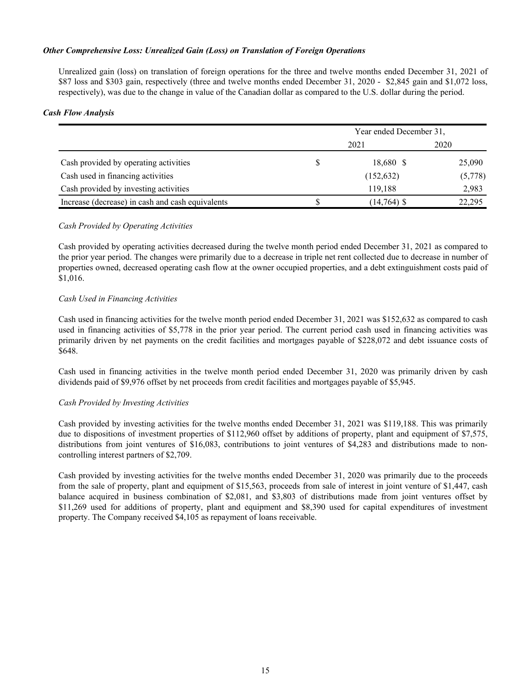## *Other Comprehensive Loss: Unrealized Gain (Loss) on Translation of Foreign Operations*

Unrealized gain (loss) on translation of foreign operations for the three and twelve months ended December 31, 2021 of \$87 loss and \$303 gain, respectively (three and twelve months ended December 31, 2020 - \$2,845 gain and \$1,072 loss, respectively), was due to the change in value of the Canadian dollar as compared to the U.S. dollar during the period.

## *Cash Flow Analysis*

|                                                  | Year ended December 31, |               |         |  |  |  |
|--------------------------------------------------|-------------------------|---------------|---------|--|--|--|
|                                                  |                         | 2021          | 2020    |  |  |  |
| Cash provided by operating activities            |                         | 18,680 \$     | 25,090  |  |  |  |
| Cash used in financing activities                |                         | (152, 632)    | (5,778) |  |  |  |
| Cash provided by investing activities            |                         | 119,188       | 2,983   |  |  |  |
| Increase (decrease) in cash and cash equivalents |                         | $(14,764)$ \$ | 22.295  |  |  |  |

## *Cash Provided by Operating Activities*

Cash provided by operating activities decreased during the twelve month period ended December 31, 2021 as compared to the prior year period. The changes were primarily due to a decrease in triple net rent collected due to decrease in number of properties owned, decreased operating cash flow at the owner occupied properties, and a debt extinguishment costs paid of \$1,016.

## *Cash Used in Financing Activities*

Cash used in financing activities for the twelve month period ended December 31, 2021 was \$152,632 as compared to cash used in financing activities of \$5,778 in the prior year period. The current period cash used in financing activities was primarily driven by net payments on the credit facilities and mortgages payable of \$228,072 and debt issuance costs of \$648.

Cash used in financing activities in the twelve month period ended December 31, 2020 was primarily driven by cash dividends paid of \$9,976 offset by net proceeds from credit facilities and mortgages payable of \$5,945.

## *Cash Provided by Investing Activities*

Cash provided by investing activities for the twelve months ended December 31, 2021 was \$119,188. This was primarily due to dispositions of investment properties of \$112,960 offset by additions of property, plant and equipment of \$7,575, distributions from joint ventures of \$16,083, contributions to joint ventures of \$4,283 and distributions made to noncontrolling interest partners of \$2,709.

Cash provided by investing activities for the twelve months ended December 31, 2020 was primarily due to the proceeds from the sale of property, plant and equipment of \$15,563, proceeds from sale of interest in joint venture of \$1,447, cash balance acquired in business combination of \$2,081, and \$3,803 of distributions made from joint ventures offset by \$11,269 used for additions of property, plant and equipment and \$8,390 used for capital expenditures of investment property. The Company received \$4,105 as repayment of loans receivable.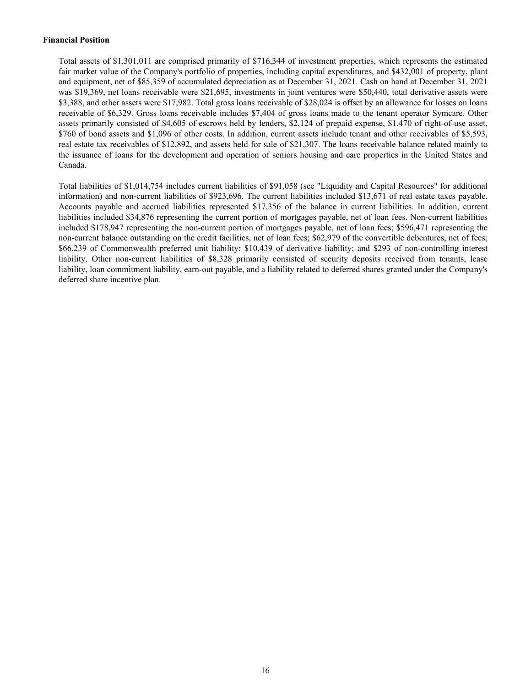## **Financial Position**

Total assets of \$1,301,011 are comprised primarily of \$716,344 of investment properties, which represents the estimated fair market value of the Company's portfolio of properties, including capital expenditures, and \$432,001 of property, plant and equipment, net of \$85,359 of accumulated depreciation as at December 31, 2021. Cash on hand at December 31, 2021 was \$19,369, net loans receivable were \$21,695, investments in joint ventures were \$50,440, total derivative assets were \$3,388, and other assets were \$17,982. Total gross loans receivable of \$28,024 is offset by an allowance for losses on loans receivable of \$6,329. Gross loans receivable includes \$7,404 of gross loans made to the tenant operator Symcare. Other assets primarily consisted of \$4,605 of escrows held by lenders, \$2,124 of prepaid expense, \$1,470 of right-of-use asset, \$760 of bond assets and \$1,096 of other costs. In addition, current assets include tenant and other receivables of \$5,593, real estate tax receivables of \$12,892, and assets held for sale of \$21,307. The loans receivable balance related mainly to the issuance of loans for the development and operation of seniors housing and care properties in the United States and Canada.

Total liabilities of \$1,014,754 includes current liabilities of \$91,058 (see "Liquidity and Capital Resources" for additional information) and non-current liabilities of \$923,696. The current liabilities included \$13,671 of real estate taxes payable. Accounts payable and accrued liabilities represented \$17,356 of the balance in current liabilities. In addition, current liabilities included \$34,876 representing the current portion of mortgages payable, net of loan fees. Non-current liabilities included \$178,947 representing the non-current portion of mortgages payable, net of loan fees; \$596,471 representing the non-current balance outstanding on the credit facilities, net of loan fees; \$62,979 of the convertible debentures, net of fees; \$66,239 of Commonwealth preferred unit liability; \$10,439 of derivative liability; and \$293 of non-controlling interest liability. Other non-current liabilities of \$8,328 primarily consisted of security deposits received from tenants, lease liability, loan commitment liability, earn-out payable, and a liability related to deferred shares granted under the Company's deferred share incentive plan.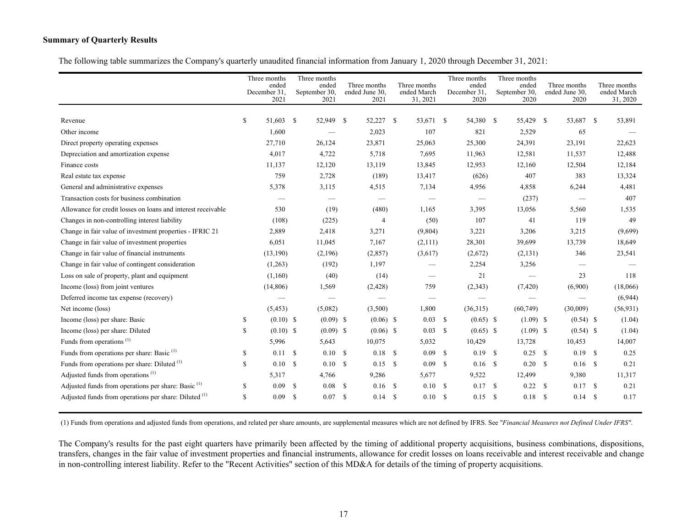## **Summary of Quarterly Results**

The following table summarizes the Company's quarterly unaudited financial information from January 1, 2020 through December 31, 2021:

|                                                                |              | Three months<br>ended<br>December 31.<br>2021 | Three months<br>September 30, | ended<br>2021 | Three months<br>ended June 30.<br>2021 |               | Three months<br>ended March<br>31, 2021 |              | Three months<br>ended<br>December 31.<br>2020 | Three months<br>ended<br>September 30,<br>2020 |    | Three months<br>ended June 30.<br>2020 |      | Three months<br>ended March<br>31, 2020 |
|----------------------------------------------------------------|--------------|-----------------------------------------------|-------------------------------|---------------|----------------------------------------|---------------|-----------------------------------------|--------------|-----------------------------------------------|------------------------------------------------|----|----------------------------------------|------|-----------------------------------------|
| Revenue                                                        | \$           | 51,603 \$                                     |                               | 52,949 \$     | 52,227                                 | <sup>S</sup>  | 53,671 \$                               |              | 54,380 \$                                     | 55,429 \$                                      |    | 53,687                                 | - S  | 53,891                                  |
| Other income                                                   |              | 1,600                                         |                               |               | 2,023                                  |               | 107                                     |              | 821                                           | 2,529                                          |    | 65                                     |      |                                         |
| Direct property operating expenses                             |              | 27,710                                        |                               | 26,124        | 23,871                                 |               | 25,063                                  |              | 25,300                                        | 24,391                                         |    | 23,191                                 |      | 22,623                                  |
| Depreciation and amortization expense                          |              | 4,017                                         |                               | 4,722         | 5,718                                  |               | 7,695                                   |              | 11,963                                        | 12,581                                         |    | 11,537                                 |      | 12,488                                  |
| Finance costs                                                  |              | 11,137                                        |                               | 12,120        | 13,119                                 |               | 13,845                                  |              | 12,953                                        | 12,160                                         |    | 12,504                                 |      | 12,184                                  |
| Real estate tax expense                                        |              | 759                                           |                               | 2,728         | (189)                                  |               | 13,417                                  |              | (626)                                         | 407                                            |    | 383                                    |      | 13,324                                  |
| General and administrative expenses                            |              | 5,378                                         |                               | 3,115         | 4,515                                  |               | 7,134                                   |              | 4,956                                         | 4,858                                          |    | 6,244                                  |      | 4,481                                   |
| Transaction costs for business combination                     |              |                                               |                               |               |                                        |               |                                         |              |                                               | (237)                                          |    |                                        |      | 407                                     |
| Allowance for credit losses on loans and interest receivable   |              | 530                                           |                               | (19)          | (480)                                  |               | 1,165                                   |              | 3,395                                         | 13,056                                         |    | 5,560                                  |      | 1,535                                   |
| Changes in non-controlling interest liability                  |              | (108)                                         |                               | (225)         | $\overline{4}$                         |               | (50)                                    |              | 107                                           | 41                                             |    | 119                                    |      | 49                                      |
| Change in fair value of investment properties - IFRIC 21       |              | 2,889                                         |                               | 2,418         | 3,271                                  |               | (9,804)                                 |              | 3,221                                         | 3,206                                          |    | 3,215                                  |      | (9,699)                                 |
| Change in fair value of investment properties                  |              | 6,051                                         |                               | 11,045        | 7,167                                  |               | (2,111)                                 |              | 28,301                                        | 39,699                                         |    | 13,739                                 |      | 18,649                                  |
| Change in fair value of financial instruments                  |              | (13,190)                                      |                               | (2,196)       | (2,857)                                |               | (3,617)                                 |              | (2,672)                                       | (2, 131)                                       |    | 346                                    |      | 23,541                                  |
| Change in fair value of contingent consideration               |              | (1,263)                                       |                               | (192)         | 1,197                                  |               |                                         |              | 2,254                                         | 3,256                                          |    |                                        |      |                                         |
| Loss on sale of property, plant and equipment                  |              | (1,160)                                       |                               | (40)          | (14)                                   |               |                                         |              | 21                                            |                                                |    | 23                                     |      | 118                                     |
| Income (loss) from joint ventures                              |              | (14,806)                                      |                               | 1,569         | (2,428)                                |               | 759                                     |              | (2, 343)                                      | (7,420)                                        |    | (6,900)                                |      | (18,066)                                |
| Deferred income tax expense (recovery)                         |              |                                               |                               |               |                                        |               |                                         |              |                                               |                                                |    |                                        |      | (6,944)                                 |
| Net income (loss)                                              |              | (5, 453)                                      |                               | (5,082)       | (3,500)                                |               | 1,800                                   |              | (36,315)                                      | (60, 749)                                      |    | (30,009)                               |      | (56, 931)                               |
| Income (loss) per share: Basic                                 | $\mathbb{S}$ | $(0.10)$ \$                                   |                               | $(0.09)$ \$   | $(0.06)$ \$                            |               | 0.03                                    | $\mathbf{s}$ | $(0.65)$ \$                                   | $(1.09)$ \$                                    |    | $(0.54)$ \$                            |      | (1.04)                                  |
| Income (loss) per share: Diluted                               | \$           | $(0.10)$ \$                                   |                               | $(0.09)$ \$   | $(0.06)$ \$                            |               | 0.03                                    | - \$         | $(0.65)$ \$                                   | $(1.09)$ \$                                    |    | $(0.54)$ \$                            |      | (1.04)                                  |
| Funds from operations <sup>(1)</sup>                           |              | 5,996                                         |                               | 5,643         | 10,075                                 |               | 5,032                                   |              | 10,429                                        | 13,728                                         |    | 10,453                                 |      | 14,007                                  |
| Funds from operations per share: Basic <sup>(1)</sup>          | \$           | $0.11 \,$ \$                                  |                               | 0.10S         | 0.18                                   | <sup>\$</sup> | 0.09 S                                  |              | $0.19$ \$                                     | 0.25                                           | -S | $0.19$ \$                              |      | 0.25                                    |
| Funds from operations per share: Diluted (1)                   | \$           | 0.10                                          | <sup>\$</sup>                 | 0.10S         | 0.15                                   | -S            | 0.09                                    | - S          | $0.16$ \$                                     | 0.20                                           | -S | $0.16$ \$                              |      | 0.21                                    |
| Adjusted funds from operations <sup>(1)</sup>                  |              | 5,317                                         |                               | 4,766         | 9,286                                  |               | 5,677                                   |              | 9,522                                         | 12,499                                         |    | 9,380                                  |      | 11,317                                  |
| Adjusted funds from operations per share: Basic <sup>(1)</sup> | \$           | 0.09                                          | -S                            | 0.08          | - \$<br>0.16                           | -S            | 0.10                                    | - \$         | 0.17S                                         | 0.22                                           | -S | 0.17                                   | - \$ | 0.21                                    |
| Adjusted funds from operations per share: Diluted (1)          | \$           | 0.09                                          | -S                            | 0.07 S        | 0.14                                   | -S            | 0.10                                    | - \$         | $0.15$ \$                                     | 0.18                                           | -S | 0.14S                                  |      | 0.17                                    |

(1) Funds from operations and adjusted funds from operations, and related per share amounts, are supplemental measures which are not defined by IFRS. See "*Financial Measures not Defined Under IFRS"*.

The Company's results for the past eight quarters have primarily been affected by the timing of additional property acquisitions, business combinations, dispositions, transfers, changes in the fair value of investment properties and financial instruments, allowance for credit losses on loans receivable and interest receivable and change in non-controlling interest liability. Refer to the "Recent Activities" section of this MD&A for details of the timing of property acquisitions.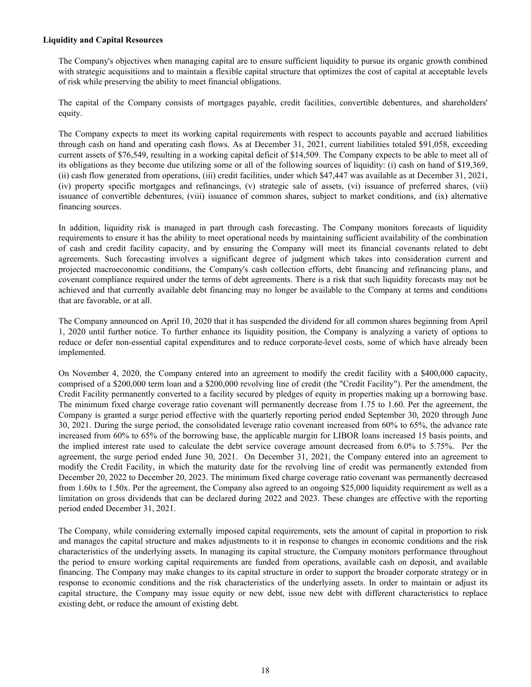#### **Liquidity and Capital Resources**

The Company's objectives when managing capital are to ensure sufficient liquidity to pursue its organic growth combined with strategic acquisitions and to maintain a flexible capital structure that optimizes the cost of capital at acceptable levels of risk while preserving the ability to meet financial obligations.

The capital of the Company consists of mortgages payable, credit facilities, convertible debentures, and shareholders' equity.

The Company expects to meet its working capital requirements with respect to accounts payable and accrued liabilities through cash on hand and operating cash flows. As at December 31, 2021, current liabilities totaled \$91,058, exceeding current assets of \$76,549, resulting in a working capital deficit of \$14,509. The Company expects to be able to meet all of its obligations as they become due utilizing some or all of the following sources of liquidity: (i) cash on hand of \$19,369, (ii) cash flow generated from operations, (iii) credit facilities, under which \$47,447 was available as at December 31, 2021, (iv) property specific mortgages and refinancings, (v) strategic sale of assets, (vi) issuance of preferred shares, (vii) issuance of convertible debentures, (viii) issuance of common shares, subject to market conditions, and (ix) alternative financing sources.

In addition, liquidity risk is managed in part through cash forecasting. The Company monitors forecasts of liquidity requirements to ensure it has the ability to meet operational needs by maintaining sufficient availability of the combination of cash and credit facility capacity, and by ensuring the Company will meet its financial covenants related to debt agreements. Such forecasting involves a significant degree of judgment which takes into consideration current and projected macroeconomic conditions, the Company's cash collection efforts, debt financing and refinancing plans, and covenant compliance required under the terms of debt agreements. There is a risk that such liquidity forecasts may not be achieved and that currently available debt financing may no longer be available to the Company at terms and conditions that are favorable, or at all.

The Company announced on April 10, 2020 that it has suspended the dividend for all common shares beginning from April 1, 2020 until further notice. To further enhance its liquidity position, the Company is analyzing a variety of options to reduce or defer non-essential capital expenditures and to reduce corporate-level costs, some of which have already been implemented.

On November 4, 2020, the Company entered into an agreement to modify the credit facility with a \$400,000 capacity, comprised of a \$200,000 term loan and a \$200,000 revolving line of credit (the "Credit Facility"). Per the amendment, the Credit Facility permanently converted to a facility secured by pledges of equity in properties making up a borrowing base. The minimum fixed charge coverage ratio covenant will permanently decrease from 1.75 to 1.60. Per the agreement, the Company is granted a surge period effective with the quarterly reporting period ended September 30, 2020 through June 30, 2021. During the surge period, the consolidated leverage ratio covenant increased from 60% to 65%, the advance rate increased from 60% to 65% of the borrowing base, the applicable margin for LIBOR loans increased 15 basis points, and the implied interest rate used to calculate the debt service coverage amount decreased from 6.0% to 5.75%. Per the agreement, the surge period ended June 30, 2021. On December 31, 2021, the Company entered into an agreement to modify the Credit Facility, in which the maturity date for the revolving line of credit was permanently extended from December 20, 2022 to December 20, 2023. The minimum fixed charge coverage ratio covenant was permanently decreased from 1.60x to 1.50x. Per the agreement, the Company also agreed to an ongoing \$25,000 liquidity requirement as well as a limitation on gross dividends that can be declared during 2022 and 2023. These changes are effective with the reporting period ended December 31, 2021.

The Company, while considering externally imposed capital requirements, sets the amount of capital in proportion to risk and manages the capital structure and makes adjustments to it in response to changes in economic conditions and the risk characteristics of the underlying assets. In managing its capital structure, the Company monitors performance throughout the period to ensure working capital requirements are funded from operations, available cash on deposit, and available financing. The Company may make changes to its capital structure in order to support the broader corporate strategy or in response to economic conditions and the risk characteristics of the underlying assets. In order to maintain or adjust its capital structure, the Company may issue equity or new debt, issue new debt with different characteristics to replace existing debt, or reduce the amount of existing debt.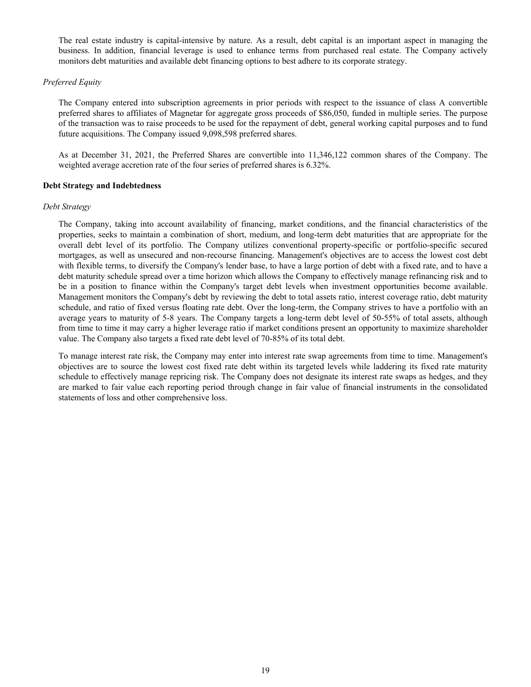The real estate industry is capital-intensive by nature. As a result, debt capital is an important aspect in managing the business. In addition, financial leverage is used to enhance terms from purchased real estate. The Company actively monitors debt maturities and available debt financing options to best adhere to its corporate strategy.

#### *Preferred Equity*

The Company entered into subscription agreements in prior periods with respect to the issuance of class A convertible preferred shares to affiliates of Magnetar for aggregate gross proceeds of \$86,050, funded in multiple series. The purpose of the transaction was to raise proceeds to be used for the repayment of debt, general working capital purposes and to fund future acquisitions. The Company issued 9,098,598 preferred shares.

As at December 31, 2021, the Preferred Shares are convertible into 11,346,122 common shares of the Company. The weighted average accretion rate of the four series of preferred shares is 6.32%.

## **Debt Strategy and Indebtedness**

#### *Debt Strategy*

The Company, taking into account availability of financing, market conditions, and the financial characteristics of the properties, seeks to maintain a combination of short, medium, and long-term debt maturities that are appropriate for the overall debt level of its portfolio. The Company utilizes conventional property-specific or portfolio-specific secured mortgages, as well as unsecured and non-recourse financing. Management's objectives are to access the lowest cost debt with flexible terms, to diversify the Company's lender base, to have a large portion of debt with a fixed rate, and to have a debt maturity schedule spread over a time horizon which allows the Company to effectively manage refinancing risk and to be in a position to finance within the Company's target debt levels when investment opportunities become available. Management monitors the Company's debt by reviewing the debt to total assets ratio, interest coverage ratio, debt maturity schedule, and ratio of fixed versus floating rate debt. Over the long-term, the Company strives to have a portfolio with an average years to maturity of 5-8 years. The Company targets a long-term debt level of 50-55% of total assets, although from time to time it may carry a higher leverage ratio if market conditions present an opportunity to maximize shareholder value. The Company also targets a fixed rate debt level of 70-85% of its total debt.

To manage interest rate risk, the Company may enter into interest rate swap agreements from time to time. Management's objectives are to source the lowest cost fixed rate debt within its targeted levels while laddering its fixed rate maturity schedule to effectively manage repricing risk. The Company does not designate its interest rate swaps as hedges, and they are marked to fair value each reporting period through change in fair value of financial instruments in the consolidated statements of loss and other comprehensive loss.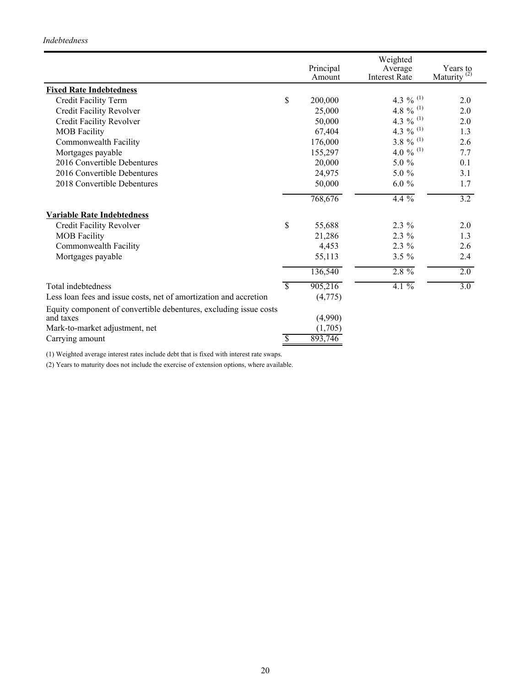## *Indebtedness*

|                                                                                |                          |                     | Weighted                        |                                     |
|--------------------------------------------------------------------------------|--------------------------|---------------------|---------------------------------|-------------------------------------|
|                                                                                |                          | Principal<br>Amount | Average<br><b>Interest Rate</b> | Years to<br>Maturity <sup>(2)</sup> |
| <b>Fixed Rate Indebtedness</b>                                                 |                          |                     |                                 |                                     |
| Credit Facility Term                                                           | \$                       | 200,000             | 4.3 % $^{(1)}$                  | 2.0                                 |
|                                                                                |                          |                     | 4.8 % $^{(1)}$                  | 2.0                                 |
| Credit Facility Revolver                                                       |                          | 25,000              | 4.3 % $^{(1)}$                  |                                     |
| Credit Facility Revolver                                                       |                          | 50,000              |                                 | 2.0                                 |
| <b>MOB</b> Facility                                                            |                          | 67,404              | 4.3 % $^{(1)}$                  | 1.3                                 |
| Commonwealth Facility                                                          |                          | 176,000             | 3.8 % $^{(1)}$                  | 2.6                                 |
| Mortgages payable                                                              |                          | 155,297             | 4.0 % $^{(1)}$                  | 7.7                                 |
| 2016 Convertible Debentures                                                    |                          | 20,000              | 5.0 %                           | 0.1                                 |
| 2016 Convertible Debentures                                                    |                          | 24,975              | 5.0 %                           | 3.1                                 |
| 2018 Convertible Debentures                                                    |                          | 50,000              | $6.0 \%$                        | 1.7                                 |
|                                                                                |                          | 768,676             | $4.4\%$                         | $\overline{3.2}$                    |
| <b>Variable Rate Indebtedness</b>                                              |                          |                     |                                 |                                     |
| Credit Facility Revolver                                                       | \$                       | 55,688              | 2.3 %                           | 2.0                                 |
| <b>MOB</b> Facility                                                            |                          | 21,286              | $2.3\%$                         | 1.3                                 |
| Commonwealth Facility                                                          |                          | 4,453               | 2.3 %                           | 2.6                                 |
| Mortgages payable                                                              |                          | 55,113              | $3.5 \%$                        | 2.4                                 |
|                                                                                |                          | 136,540             | $2.8\%$                         | 2.0                                 |
| Total indebtedness                                                             | $\overline{\mathcal{S}}$ | 905,216             | $4.1\%$                         | $\overline{3.0}$                    |
| Less loan fees and issue costs, net of amortization and accretion              |                          | (4,775)             |                                 |                                     |
| Equity component of convertible debentures, excluding issue costs<br>and taxes |                          | (4,990)             |                                 |                                     |
| Mark-to-market adjustment, net                                                 |                          | (1,705)             |                                 |                                     |
|                                                                                | $\overline{\mathcal{S}}$ |                     |                                 |                                     |
| Carrying amount                                                                |                          | 893,746             |                                 |                                     |

(1) Weighted average interest rates include debt that is fixed with interest rate swaps.

(2) Years to maturity does not include the exercise of extension options, where available.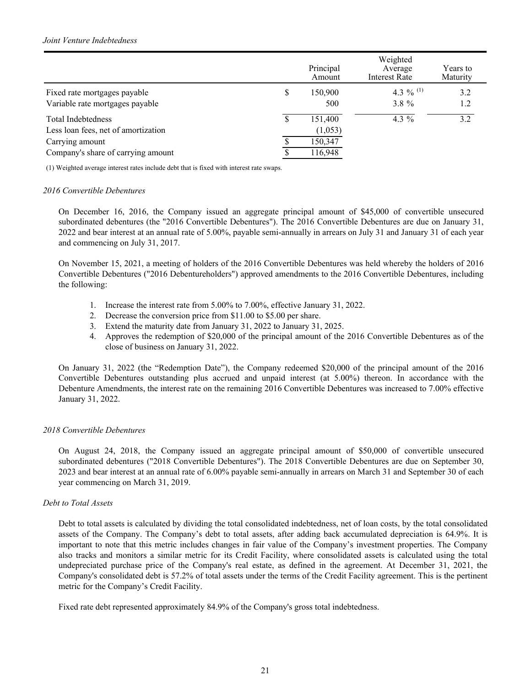|                                     |   | Principal<br>Amount | Weighted<br>Average<br><b>Interest Rate</b> | Years to<br>Maturity |
|-------------------------------------|---|---------------------|---------------------------------------------|----------------------|
| Fixed rate mortgages payable        | S | 150,900             | 4.3 % $^{(1)}$                              | 3.2                  |
| Variable rate mortgages payable     |   | 500                 | $3.8 \%$                                    | 1.2                  |
| <b>Total Indebtedness</b>           |   | 151,400             | 4.3 $%$                                     | 32                   |
| Less loan fees, net of amortization |   | (1,053)             |                                             |                      |
| Carrying amount                     |   | 150,347             |                                             |                      |
| Company's share of carrying amount  |   | 116,948             |                                             |                      |

(1) Weighted average interest rates include debt that is fixed with interest rate swaps.

#### *2016 Convertible Debentures*

On December 16, 2016, the Company issued an aggregate principal amount of \$45,000 of convertible unsecured subordinated debentures (the "2016 Convertible Debentures"). The 2016 Convertible Debentures are due on January 31, 2022 and bear interest at an annual rate of 5.00%, payable semi-annually in arrears on July 31 and January 31 of each year and commencing on July 31, 2017.

On November 15, 2021, a meeting of holders of the 2016 Convertible Debentures was held whereby the holders of 2016 Convertible Debentures ("2016 Debentureholders") approved amendments to the 2016 Convertible Debentures, including the following:

- 1. Increase the interest rate from 5.00% to 7.00%, effective January 31, 2022.
- 2. Decrease the conversion price from \$11.00 to \$5.00 per share.
- 3. Extend the maturity date from January 31, 2022 to January 31, 2025.
- 4. Approves the redemption of \$20,000 of the principal amount of the 2016 Convertible Debentures as of the close of business on January 31, 2022.

On January 31, 2022 (the "Redemption Date"), the Company redeemed \$20,000 of the principal amount of the 2016 Convertible Debentures outstanding plus accrued and unpaid interest (at 5.00%) thereon. In accordance with the Debenture Amendments, the interest rate on the remaining 2016 Convertible Debentures was increased to 7.00% effective January 31, 2022.

## *2018 Convertible Debentures*

On August 24, 2018, the Company issued an aggregate principal amount of \$50,000 of convertible unsecured subordinated debentures ("2018 Convertible Debentures"). The 2018 Convertible Debentures are due on September 30, 2023 and bear interest at an annual rate of 6.00% payable semi-annually in arrears on March 31 and September 30 of each year commencing on March 31, 2019.

#### *Debt to Total Assets*

Debt to total assets is calculated by dividing the total consolidated indebtedness, net of loan costs, by the total consolidated assets of the Company. The Company's debt to total assets, after adding back accumulated depreciation is 64.9%. It is important to note that this metric includes changes in fair value of the Company's investment properties. The Company also tracks and monitors a similar metric for its Credit Facility, where consolidated assets is calculated using the total undepreciated purchase price of the Company's real estate, as defined in the agreement. At December 31, 2021, the Company's consolidated debt is 57.2% of total assets under the terms of the Credit Facility agreement. This is the pertinent metric for the Company's Credit Facility.

Fixed rate debt represented approximately 84.9% of the Company's gross total indebtedness.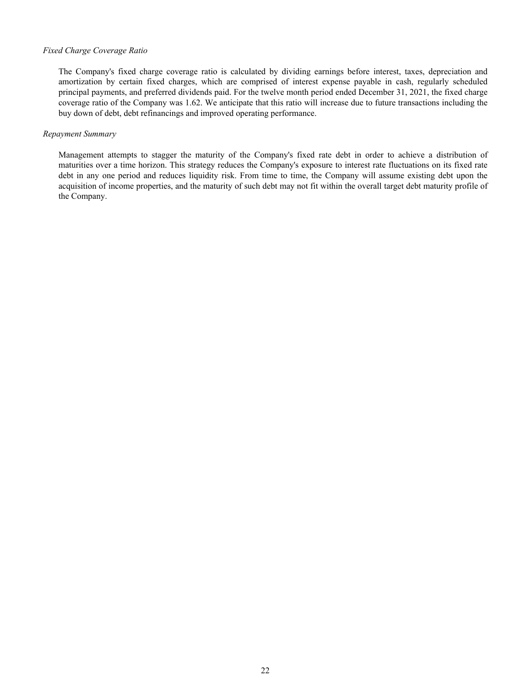## *Fixed Charge Coverage Ratio*

The Company's fixed charge coverage ratio is calculated by dividing earnings before interest, taxes, depreciation and amortization by certain fixed charges, which are comprised of interest expense payable in cash, regularly scheduled principal payments, and preferred dividends paid. For the twelve month period ended December 31, 2021, the fixed charge coverage ratio of the Company was 1.62. We anticipate that this ratio will increase due to future transactions including the buy down of debt, debt refinancings and improved operating performance.

#### *Repayment Summary*

Management attempts to stagger the maturity of the Company's fixed rate debt in order to achieve a distribution of maturities over a time horizon. This strategy reduces the Company's exposure to interest rate fluctuations on its fixed rate debt in any one period and reduces liquidity risk. From time to time, the Company will assume existing debt upon the acquisition of income properties, and the maturity of such debt may not fit within the overall target debt maturity profile of the Company.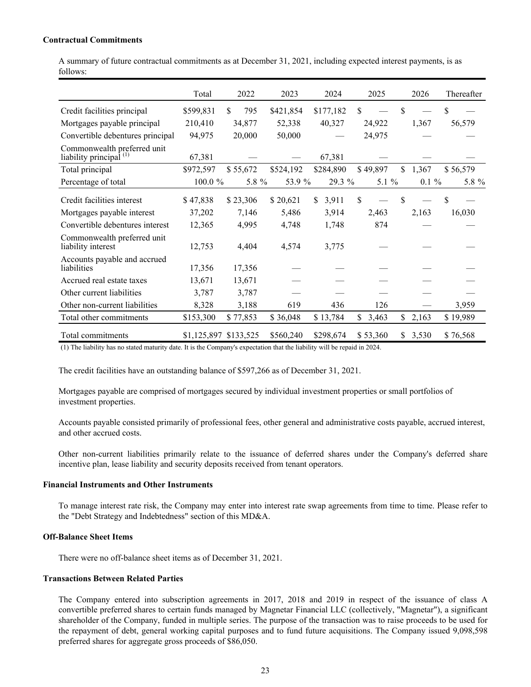#### **Contractual Commitments**

A summary of future contractual commitments as at December 31, 2021, including expected interest payments, is as follows:

|                                                                   | Total     | 2022                  | 2023      | 2024        | 2025        | 2026        | Thereafter |
|-------------------------------------------------------------------|-----------|-----------------------|-----------|-------------|-------------|-------------|------------|
| Credit facilities principal                                       | \$599,831 | \$<br>795             | \$421,854 | \$177,182   | \$          | \$          | \$         |
| Mortgages payable principal                                       | 210,410   | 34,877                | 52,338    | 40,327      | 24,922      | 1,367       | 56,579     |
| Convertible debentures principal                                  | 94,975    | 20,000                | 50,000    |             | 24,975      |             |            |
| Commonwealth preferred unit<br>liability principal <sup>(1)</sup> | 67,381    |                       |           | 67,381      |             |             |            |
| Total principal                                                   | \$972,597 | \$55,672              | \$524,192 | \$284,890   | \$49,897    | \$<br>1,367 | \$56,579   |
| Percentage of total                                               | 100.0 %   | 5.8 %                 | 53.9 %    | 29.3 %      | 5.1 %       | $0.1 \%$    | 5.8 %      |
| Credit facilities interest                                        | \$47,838  | \$23,306              | \$20,621  | \$<br>3,911 | \$          | \$          | \$         |
| Mortgages payable interest                                        | 37,202    | 7,146                 | 5,486     | 3,914       | 2,463       | 2,163       | 16,030     |
| Convertible debentures interest                                   | 12,365    | 4,995                 | 4,748     | 1,748       | 874         |             |            |
| Commonwealth preferred unit<br>liability interest                 | 12,753    | 4,404                 | 4,574     | 3,775       |             |             |            |
| Accounts payable and accrued<br>liabilities                       | 17,356    | 17,356                |           |             |             |             |            |
| Accrued real estate taxes                                         | 13,671    | 13,671                |           |             |             |             |            |
| Other current liabilities                                         | 3,787     | 3,787                 |           |             |             |             |            |
| Other non-current liabilities                                     | 8,328     | 3,188                 | 619       | 436         | 126         |             | 3,959      |
| Total other commitments                                           | \$153,300 | \$77,853              | \$36,048  | \$13,784    | \$<br>3,463 | \$<br>2,163 | \$19,989   |
| Total commitments                                                 |           | \$1,125,897 \$133,525 | \$560,240 | \$298,674   | \$53,360    | \$<br>3,530 | \$76,568   |

(1) The liability has no stated maturity date. It is the Company's expectation that the liability will be repaid in 2024.

The credit facilities have an outstanding balance of \$597,266 as of December 31, 2021.

Mortgages payable are comprised of mortgages secured by individual investment properties or small portfolios of investment properties.

Accounts payable consisted primarily of professional fees, other general and administrative costs payable, accrued interest, and other accrued costs.

Other non-current liabilities primarily relate to the issuance of deferred shares under the Company's deferred share incentive plan, lease liability and security deposits received from tenant operators.

#### **Financial Instruments and Other Instruments**

To manage interest rate risk, the Company may enter into interest rate swap agreements from time to time. Please refer to the "Debt Strategy and Indebtedness" section of this MD&A.

## **Off-Balance Sheet Items**

There were no off-balance sheet items as of December 31, 2021.

## **Transactions Between Related Parties**

The Company entered into subscription agreements in 2017, 2018 and 2019 in respect of the issuance of class A convertible preferred shares to certain funds managed by Magnetar Financial LLC (collectively, "Magnetar"), a significant shareholder of the Company, funded in multiple series. The purpose of the transaction was to raise proceeds to be used for the repayment of debt, general working capital purposes and to fund future acquisitions. The Company issued 9,098,598 preferred shares for aggregate gross proceeds of \$86,050.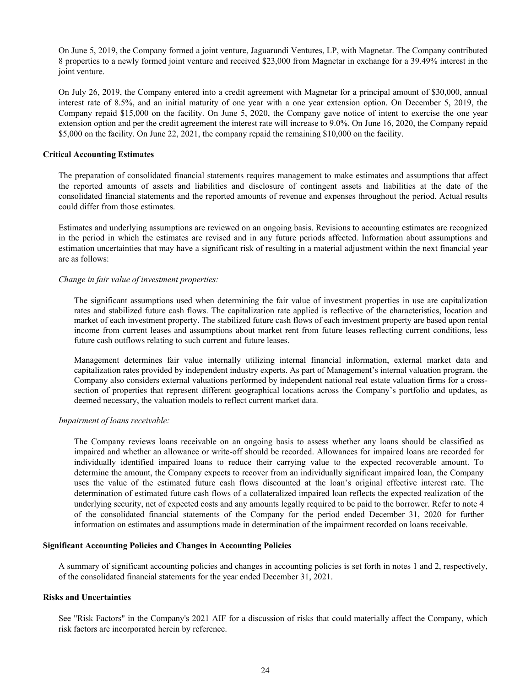On June 5, 2019, the Company formed a joint venture, Jaguarundi Ventures, LP, with Magnetar. The Company contributed 8 properties to a newly formed joint venture and received \$23,000 from Magnetar in exchange for a 39.49% interest in the joint venture.

On July 26, 2019, the Company entered into a credit agreement with Magnetar for a principal amount of \$30,000, annual interest rate of 8.5%, and an initial maturity of one year with a one year extension option. On December 5, 2019, the Company repaid \$15,000 on the facility. On June 5, 2020, the Company gave notice of intent to exercise the one year extension option and per the credit agreement the interest rate will increase to 9.0%. On June 16, 2020, the Company repaid \$5,000 on the facility. On June 22, 2021, the company repaid the remaining \$10,000 on the facility.

#### **Critical Accounting Estimates**

The preparation of consolidated financial statements requires management to make estimates and assumptions that affect the reported amounts of assets and liabilities and disclosure of contingent assets and liabilities at the date of the consolidated financial statements and the reported amounts of revenue and expenses throughout the period. Actual results could differ from those estimates.

Estimates and underlying assumptions are reviewed on an ongoing basis. Revisions to accounting estimates are recognized in the period in which the estimates are revised and in any future periods affected. Information about assumptions and estimation uncertainties that may have a significant risk of resulting in a material adjustment within the next financial year are as follows:

#### *Change in fair value of investment properties:*

The significant assumptions used when determining the fair value of investment properties in use are capitalization rates and stabilized future cash flows. The capitalization rate applied is reflective of the characteristics, location and market of each investment property. The stabilized future cash flows of each investment property are based upon rental income from current leases and assumptions about market rent from future leases reflecting current conditions, less future cash outflows relating to such current and future leases.

Management determines fair value internally utilizing internal financial information, external market data and capitalization rates provided by independent industry experts. As part of Management's internal valuation program, the Company also considers external valuations performed by independent national real estate valuation firms for a crosssection of properties that represent different geographical locations across the Company's portfolio and updates, as deemed necessary, the valuation models to reflect current market data.

#### *Impairment of loans receivable:*

The Company reviews loans receivable on an ongoing basis to assess whether any loans should be classified as impaired and whether an allowance or write-off should be recorded. Allowances for impaired loans are recorded for individually identified impaired loans to reduce their carrying value to the expected recoverable amount. To determine the amount, the Company expects to recover from an individually significant impaired loan, the Company uses the value of the estimated future cash flows discounted at the loan's original effective interest rate. The determination of estimated future cash flows of a collateralized impaired loan reflects the expected realization of the underlying security, net of expected costs and any amounts legally required to be paid to the borrower. Refer to note 4 of the consolidated financial statements of the Company for the period ended December 31, 2020 for further information on estimates and assumptions made in determination of the impairment recorded on loans receivable.

#### **Significant Accounting Policies and Changes in Accounting Policies**

A summary of significant accounting policies and changes in accounting policies is set forth in notes 1 and 2, respectively, of the consolidated financial statements for the year ended December 31, 2021.

#### **Risks and Uncertainties**

See "Risk Factors" in the Company's 2021 AIF for a discussion of risks that could materially affect the Company, which risk factors are incorporated herein by reference.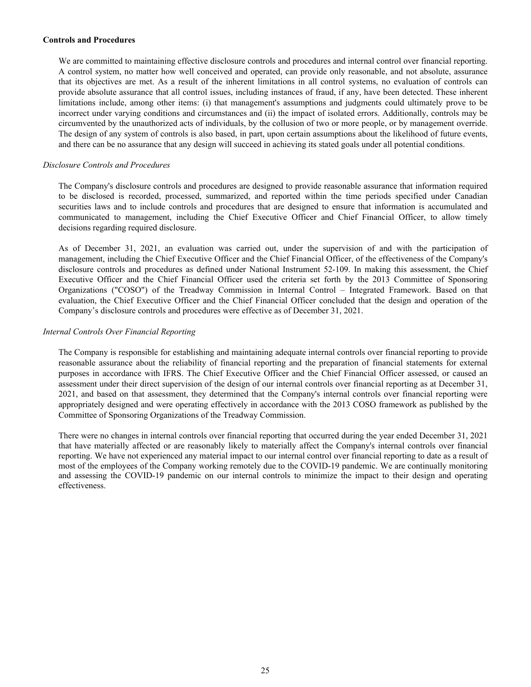#### **Controls and Procedures**

We are committed to maintaining effective disclosure controls and procedures and internal control over financial reporting. A control system, no matter how well conceived and operated, can provide only reasonable, and not absolute, assurance that its objectives are met. As a result of the inherent limitations in all control systems, no evaluation of controls can provide absolute assurance that all control issues, including instances of fraud, if any, have been detected. These inherent limitations include, among other items: (i) that management's assumptions and judgments could ultimately prove to be incorrect under varying conditions and circumstances and (ii) the impact of isolated errors. Additionally, controls may be circumvented by the unauthorized acts of individuals, by the collusion of two or more people, or by management override. The design of any system of controls is also based, in part, upon certain assumptions about the likelihood of future events, and there can be no assurance that any design will succeed in achieving its stated goals under all potential conditions.

#### *Disclosure Controls and Procedures*

The Company's disclosure controls and procedures are designed to provide reasonable assurance that information required to be disclosed is recorded, processed, summarized, and reported within the time periods specified under Canadian securities laws and to include controls and procedures that are designed to ensure that information is accumulated and communicated to management, including the Chief Executive Officer and Chief Financial Officer, to allow timely decisions regarding required disclosure.

As of December 31, 2021, an evaluation was carried out, under the supervision of and with the participation of management, including the Chief Executive Officer and the Chief Financial Officer, of the effectiveness of the Company's disclosure controls and procedures as defined under National Instrument 52-109. In making this assessment, the Chief Executive Officer and the Chief Financial Officer used the criteria set forth by the 2013 Committee of Sponsoring Organizations ("COSO") of the Treadway Commission in Internal Control – Integrated Framework. Based on that evaluation, the Chief Executive Officer and the Chief Financial Officer concluded that the design and operation of the Company's disclosure controls and procedures were effective as of December 31, 2021.

#### *Internal Controls Over Financial Reporting*

The Company is responsible for establishing and maintaining adequate internal controls over financial reporting to provide reasonable assurance about the reliability of financial reporting and the preparation of financial statements for external purposes in accordance with IFRS. The Chief Executive Officer and the Chief Financial Officer assessed, or caused an assessment under their direct supervision of the design of our internal controls over financial reporting as at December 31, 2021, and based on that assessment, they determined that the Company's internal controls over financial reporting were appropriately designed and were operating effectively in accordance with the 2013 COSO framework as published by the Committee of Sponsoring Organizations of the Treadway Commission.

There were no changes in internal controls over financial reporting that occurred during the year ended December 31, 2021 that have materially affected or are reasonably likely to materially affect the Company's internal controls over financial reporting. We have not experienced any material impact to our internal control over financial reporting to date as a result of most of the employees of the Company working remotely due to the COVID-19 pandemic. We are continually monitoring and assessing the COVID-19 pandemic on our internal controls to minimize the impact to their design and operating effectiveness.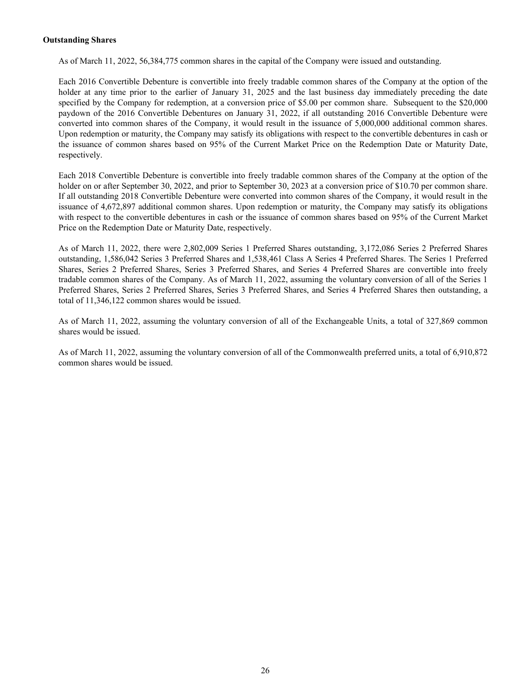#### **Outstanding Shares**

As of March 11, 2022, 56,384,775 common shares in the capital of the Company were issued and outstanding.

Each 2016 Convertible Debenture is convertible into freely tradable common shares of the Company at the option of the holder at any time prior to the earlier of January 31, 2025 and the last business day immediately preceding the date specified by the Company for redemption, at a conversion price of \$5.00 per common share. Subsequent to the \$20,000 paydown of the 2016 Convertible Debentures on January 31, 2022, if all outstanding 2016 Convertible Debenture were converted into common shares of the Company, it would result in the issuance of 5,000,000 additional common shares. Upon redemption or maturity, the Company may satisfy its obligations with respect to the convertible debentures in cash or the issuance of common shares based on 95% of the Current Market Price on the Redemption Date or Maturity Date, respectively.

Each 2018 Convertible Debenture is convertible into freely tradable common shares of the Company at the option of the holder on or after September 30, 2022, and prior to September 30, 2023 at a conversion price of \$10.70 per common share. If all outstanding 2018 Convertible Debenture were converted into common shares of the Company, it would result in the issuance of 4,672,897 additional common shares. Upon redemption or maturity, the Company may satisfy its obligations with respect to the convertible debentures in cash or the issuance of common shares based on 95% of the Current Market Price on the Redemption Date or Maturity Date, respectively.

As of March 11, 2022, there were 2,802,009 Series 1 Preferred Shares outstanding, 3,172,086 Series 2 Preferred Shares outstanding, 1,586,042 Series 3 Preferred Shares and 1,538,461 Class A Series 4 Preferred Shares. The Series 1 Preferred Shares, Series 2 Preferred Shares, Series 3 Preferred Shares, and Series 4 Preferred Shares are convertible into freely tradable common shares of the Company. As of March 11, 2022, assuming the voluntary conversion of all of the Series 1 Preferred Shares, Series 2 Preferred Shares, Series 3 Preferred Shares, and Series 4 Preferred Shares then outstanding, a total of 11,346,122 common shares would be issued.

As of March 11, 2022, assuming the voluntary conversion of all of the Exchangeable Units, a total of 327,869 common shares would be issued.

As of March 11, 2022, assuming the voluntary conversion of all of the Commonwealth preferred units, a total of 6,910,872 common shares would be issued.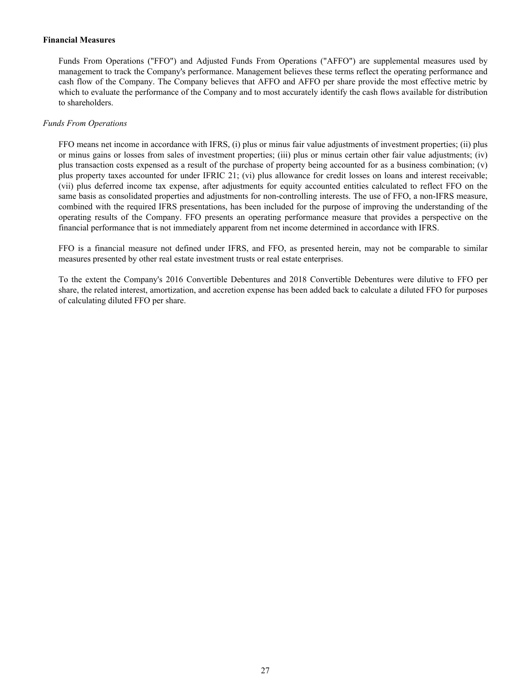#### **Financial Measures**

Funds From Operations ("FFO") and Adjusted Funds From Operations ("AFFO") are supplemental measures used by management to track the Company's performance. Management believes these terms reflect the operating performance and cash flow of the Company. The Company believes that AFFO and AFFO per share provide the most effective metric by which to evaluate the performance of the Company and to most accurately identify the cash flows available for distribution to shareholders.

#### *Funds From Operations*

FFO means net income in accordance with IFRS, (i) plus or minus fair value adjustments of investment properties; (ii) plus or minus gains or losses from sales of investment properties; (iii) plus or minus certain other fair value adjustments; (iv) plus transaction costs expensed as a result of the purchase of property being accounted for as a business combination; (v) plus property taxes accounted for under IFRIC 21; (vi) plus allowance for credit losses on loans and interest receivable; (vii) plus deferred income tax expense, after adjustments for equity accounted entities calculated to reflect FFO on the same basis as consolidated properties and adjustments for non-controlling interests. The use of FFO, a non-IFRS measure, combined with the required IFRS presentations, has been included for the purpose of improving the understanding of the operating results of the Company. FFO presents an operating performance measure that provides a perspective on the financial performance that is not immediately apparent from net income determined in accordance with IFRS.

FFO is a financial measure not defined under IFRS, and FFO, as presented herein, may not be comparable to similar measures presented by other real estate investment trusts or real estate enterprises.

To the extent the Company's 2016 Convertible Debentures and 2018 Convertible Debentures were dilutive to FFO per share, the related interest, amortization, and accretion expense has been added back to calculate a diluted FFO for purposes of calculating diluted FFO per share.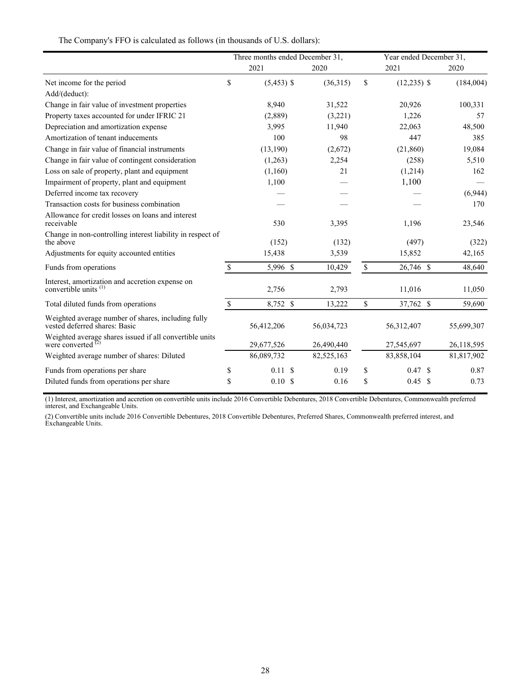|                                                                                     |                    | Three months ended December 31, |            |              | Year ended December 31, |  |            |
|-------------------------------------------------------------------------------------|--------------------|---------------------------------|------------|--------------|-------------------------|--|------------|
|                                                                                     |                    | 2021                            | 2020       |              | 2021                    |  | 2020       |
| Net income for the period                                                           | \$                 | $(5,453)$ \$                    | (36,315)   | \$           | $(12,235)$ \$           |  | (184,004)  |
| Add/(deduct):                                                                       |                    |                                 |            |              |                         |  |            |
| Change in fair value of investment properties                                       |                    | 8,940                           | 31,522     |              | 20,926                  |  | 100,331    |
| Property taxes accounted for under IFRIC 21                                         |                    | (2,889)                         | (3,221)    |              | 1,226                   |  | 57         |
| Depreciation and amortization expense                                               |                    | 3,995                           | 11,940     |              | 22,063                  |  | 48,500     |
| Amortization of tenant inducements                                                  |                    | 100                             | 98         |              | 447                     |  | 385        |
| Change in fair value of financial instruments                                       |                    | (13, 190)                       | (2,672)    |              | (21, 860)               |  | 19,084     |
| Change in fair value of contingent consideration                                    |                    | (1,263)                         | 2,254      |              | (258)                   |  | 5,510      |
| Loss on sale of property, plant and equipment                                       |                    | (1,160)                         | 21         |              | (1,214)                 |  | 162        |
| Impairment of property, plant and equipment                                         |                    | 1,100                           |            |              | 1,100                   |  |            |
| Deferred income tax recovery                                                        |                    |                                 |            |              |                         |  | (6,944)    |
| Transaction costs for business combination                                          |                    |                                 |            |              |                         |  | 170        |
| Allowance for credit losses on loans and interest<br>receivable                     |                    | 530                             | 3,395      |              | 1,196                   |  | 23,546     |
| Change in non-controlling interest liability in respect of<br>the above             |                    | (152)                           | (132)      |              | (497)                   |  | (322)      |
| Adjustments for equity accounted entities                                           |                    | 15,438                          | 3,539      |              | 15,852                  |  | 42,165     |
| Funds from operations                                                               | $\mathbb{S}$       | 5,996 \$                        | 10,429     | $\mathbb{S}$ | 26,746 \$               |  | 48,640     |
| Interest, amortization and accretion expense on<br>convertible units <sup>(1)</sup> |                    | 2,756                           | 2,793      |              | 11,016                  |  | 11,050     |
| Total diluted funds from operations                                                 | $\mathbf{\hat{S}}$ | 8,752 \$                        | 13,222     | \$           | 37,762 \$               |  | 59,690     |
| Weighted average number of shares, including fully<br>vested deferred shares: Basic |                    | 56,412,206                      | 56,034,723 |              | 56,312,407              |  | 55,699,307 |
| Weighted average shares issued if all convertible units<br>were converted $^{72}$   |                    | 29,677,526                      | 26,490,440 |              | 27,545,697              |  | 26,118,595 |
| Weighted average number of shares: Diluted                                          |                    | 86,089,732                      | 82,525,163 |              | 83,858,104              |  | 81,817,902 |
| Funds from operations per share                                                     | \$                 | 0.11S                           | 0.19       | \$           | 0.47 S                  |  | 0.87       |
| Diluted funds from operations per share                                             | \$                 | 0.10S                           | 0.16       | \$           | 0.45 S                  |  | 0.73       |

The Company's FFO is calculated as follows (in thousands of U.S. dollars):

(1) Interest, amortization and accretion on convertible units include 2016 Convertible Debentures, 2018 Convertible Debentures, Commonwealth preferred interest, and Exchangeable Units.

(2) Convertible units include 2016 Convertible Debentures, 2018 Convertible Debentures, Preferred Shares, Commonwealth preferred interest, and Exchangeable Units.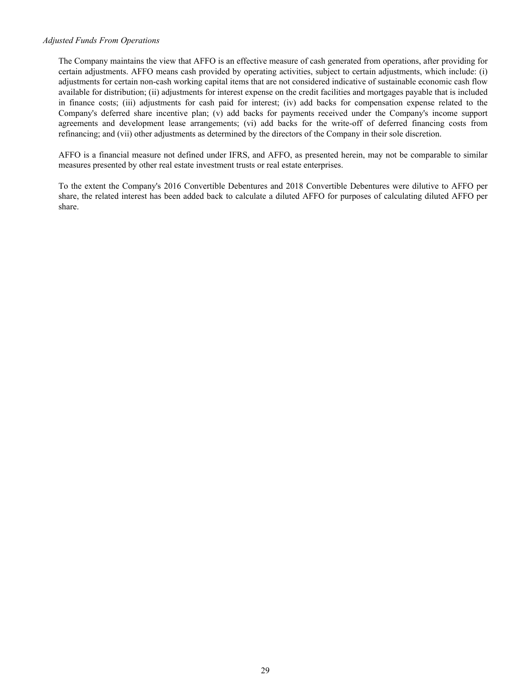#### *Adjusted Funds From Operations*

The Company maintains the view that AFFO is an effective measure of cash generated from operations, after providing for certain adjustments. AFFO means cash provided by operating activities, subject to certain adjustments, which include: (i) adjustments for certain non-cash working capital items that are not considered indicative of sustainable economic cash flow available for distribution; (ii) adjustments for interest expense on the credit facilities and mortgages payable that is included in finance costs; (iii) adjustments for cash paid for interest; (iv) add backs for compensation expense related to the Company's deferred share incentive plan; (v) add backs for payments received under the Company's income support agreements and development lease arrangements; (vi) add backs for the write-off of deferred financing costs from refinancing; and (vii) other adjustments as determined by the directors of the Company in their sole discretion.

AFFO is a financial measure not defined under IFRS, and AFFO, as presented herein, may not be comparable to similar measures presented by other real estate investment trusts or real estate enterprises.

To the extent the Company's 2016 Convertible Debentures and 2018 Convertible Debentures were dilutive to AFFO per share, the related interest has been added back to calculate a diluted AFFO for purposes of calculating diluted AFFO per share.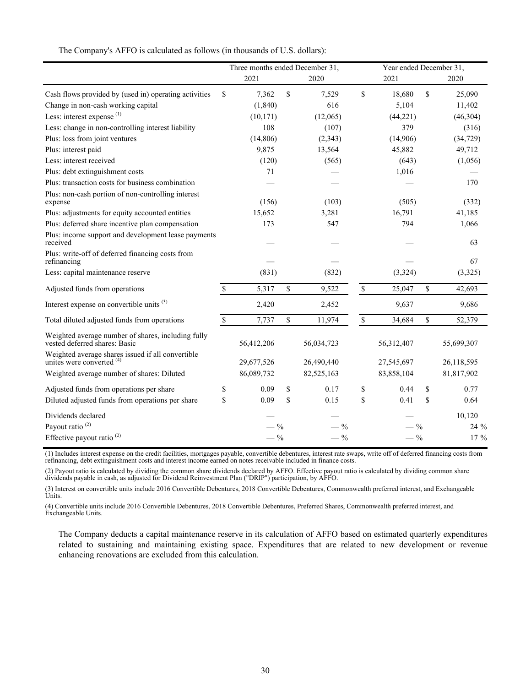|                                                                                     |             | Three months ended December 31, |                 |                           | Year ended December 31, |             |            |
|-------------------------------------------------------------------------------------|-------------|---------------------------------|-----------------|---------------------------|-------------------------|-------------|------------|
|                                                                                     |             | 2021                            | 2020            |                           | 2021                    |             | 2020       |
| Cash flows provided by (used in) operating activities                               | \$          | 7,362                           | \$<br>7,529     | $\mathbf S$               | 18,680                  | $\mathbf S$ | 25,090     |
| Change in non-cash working capital                                                  |             | (1, 840)                        | 616             |                           | 5,104                   |             | 11,402     |
| Less: interest expense $(1)$                                                        |             | (10, 171)                       | (12,065)        |                           | (44,221)                |             | (46, 304)  |
| Less: change in non-controlling interest liability                                  |             | 108                             | (107)           |                           | 379                     |             | (316)      |
| Plus: loss from joint ventures                                                      |             | (14, 806)                       | (2,343)         |                           | (14,906)                |             | (34, 729)  |
| Plus: interest paid                                                                 |             | 9,875                           | 13,564          |                           | 45,882                  |             | 49,712     |
| Less: interest received                                                             |             | (120)                           | (565)           |                           | (643)                   |             | (1,056)    |
| Plus: debt extinguishment costs                                                     |             | 71                              |                 |                           | 1,016                   |             |            |
| Plus: transaction costs for business combination                                    |             |                                 |                 |                           |                         |             | 170        |
| Plus: non-cash portion of non-controlling interest<br>expense                       |             | (156)                           | (103)           |                           | (505)                   |             | (332)      |
| Plus: adjustments for equity accounted entities                                     |             | 15,652                          | 3,281           |                           | 16,791                  |             | 41,185     |
| Plus: deferred share incentive plan compensation                                    |             | 173                             | 547             |                           | 794                     |             | 1,066      |
| Plus: income support and development lease payments<br>received                     |             |                                 |                 |                           |                         |             | 63         |
| Plus: write-off of deferred financing costs from<br>refinancing                     |             |                                 |                 |                           |                         |             | 67         |
| Less: capital maintenance reserve                                                   |             | (831)                           | (832)           |                           | (3, 324)                |             | (3,325)    |
| Adjusted funds from operations                                                      | $\mathbf S$ | 5,317                           | \$<br>9,522     | $\boldsymbol{\mathsf{S}}$ | 25,047                  | \$          | 42,693     |
| Interest expense on convertible units <sup>(3)</sup>                                |             | 2,420                           | 2,452           |                           | 9,637                   |             | 9,686      |
| Total diluted adjusted funds from operations                                        | $\mathbf S$ | 7,737                           | \$<br>11,974    | $\boldsymbol{\mathsf{S}}$ | 34,684                  | $\mathbf S$ | 52,379     |
| Weighted average number of shares, including fully<br>vested deferred shares: Basic |             | 56,412,206                      | 56,034,723      |                           | 56,312,407              |             | 55,699,307 |
| Weighted average shares issued if all convertible<br>unites were converted $(4)$    |             | 29,677,526                      | 26,490,440      |                           | 27,545,697              |             | 26,118,595 |
| Weighted average number of shares: Diluted                                          |             | 86,089,732                      | 82,525,163      |                           | 83,858,104              |             | 81,817,902 |
| Adjusted funds from operations per share                                            | \$          | 0.09                            | \$<br>0.17      | \$                        | 0.44                    | \$          | 0.77       |
| Diluted adjusted funds from operations per share                                    | \$          | 0.09                            | \$<br>0.15      | \$                        | 0.41                    | \$          | 0.64       |
| Dividends declared                                                                  |             |                                 |                 |                           |                         |             | 10,120     |
| Payout ratio <sup>(2)</sup>                                                         |             | $-$ %                           | $- \frac{9}{6}$ |                           | $-9/0$                  |             | 24 %       |
| Effective payout ratio $^{(2)}$                                                     |             | $-$ %                           | $-$ %           |                           | $-$ %                   |             | 17 %       |

The Company's AFFO is calculated as follows (in thousands of U.S. dollars):

(1) Includes interest expense on the credit facilities, mortgages payable, convertible debentures, interest rate swaps, write off of deferred financing costs from refinancing, debt extinguishment costs and interest income earned on notes receivable included in finance costs.

(2) Payout ratio is calculated by dividing the common share dividends declared by AFFO. Effective payout ratio is calculated by dividing common share dividends payable in cash, as adjusted for Dividend Reinvestment Plan ("DRIP") participation, by AFFO.

(3) Interest on convertible units include 2016 Convertible Debentures, 2018 Convertible Debentures, Commonwealth preferred interest, and Exchangeable Units.

(4) Convertible units include 2016 Convertible Debentures, 2018 Convertible Debentures, Preferred Shares, Commonwealth preferred interest, and Exchangeable Units.

The Company deducts a capital maintenance reserve in its calculation of AFFO based on estimated quarterly expenditures related to sustaining and maintaining existing space. Expenditures that are related to new development or revenue enhancing renovations are excluded from this calculation.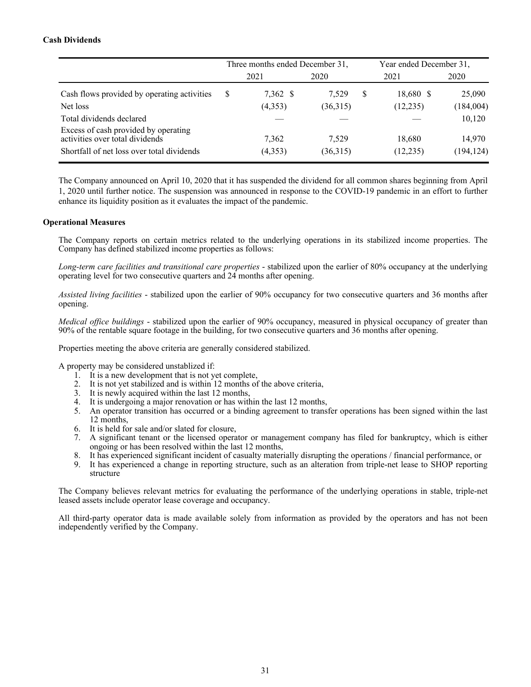## **Cash Dividends**

|                                                                         |   | Three months ended December 31, |          |   | Year ended December 31, |            |  |
|-------------------------------------------------------------------------|---|---------------------------------|----------|---|-------------------------|------------|--|
|                                                                         |   | 2021                            | 2020     |   | 2021                    | 2020       |  |
| Cash flows provided by operating activities                             | S | 7,362 \$                        | 7,529    | S | 18,680 \$               | 25,090     |  |
| Net loss                                                                |   | (4,353)                         | (36,315) |   | (12, 235)               | (184,004)  |  |
| Total dividends declared                                                |   |                                 |          |   |                         | 10,120     |  |
| Excess of cash provided by operating<br>activities over total dividends |   | 7,362                           | 7,529    |   | 18,680                  | 14,970     |  |
| Shortfall of net loss over total dividends                              |   | (4,353)                         | (36,315) |   | (12, 235)               | (194, 124) |  |

The Company announced on April 10, 2020 that it has suspended the dividend for all common shares beginning from April 1, 2020 until further notice. The suspension was announced in response to the COVID-19 pandemic in an effort to further enhance its liquidity position as it evaluates the impact of the pandemic.

#### **Operational Measures**

The Company reports on certain metrics related to the underlying operations in its stabilized income properties. The Company has defined stabilized income properties as follows:

*Long-term care facilities and transitional care properties* - stabilized upon the earlier of 80% occupancy at the underlying operating level for two consecutive quarters and 24 months after opening.

*Assisted living facilities* - stabilized upon the earlier of 90% occupancy for two consecutive quarters and 36 months after opening.

*Medical office buildings* - stabilized upon the earlier of 90% occupancy, measured in physical occupancy of greater than 90% of the rentable square footage in the building, for two consecutive quarters and 36 months after opening.

Properties meeting the above criteria are generally considered stabilized.

A property may be considered unstablized if:

- 1. It is a new development that is not yet complete,
- It is not yet stabilized and is within 12 months of the above criteria,
- 3. It is newly acquired within the last 12 months,
- 4. It is undergoing a major renovation or has within the last 12 months,
- 5. An operator transition has occurred or a binding agreement to transfer operations has been signed within the last 12 months,
- 6. It is held for sale and/or slated for closure,
- 7. A significant tenant or the licensed operator or management company has filed for bankruptcy, which is either ongoing or has been resolved within the last 12 months,
- 8. It has experienced significant incident of casualty materially disrupting the operations / financial performance, or
- 9. It has experienced a change in reporting structure, such as an alteration from triple-net lease to SHOP reporting structure

The Company believes relevant metrics for evaluating the performance of the underlying operations in stable, triple-net leased assets include operator lease coverage and occupancy.

All third-party operator data is made available solely from information as provided by the operators and has not been independently verified by the Company.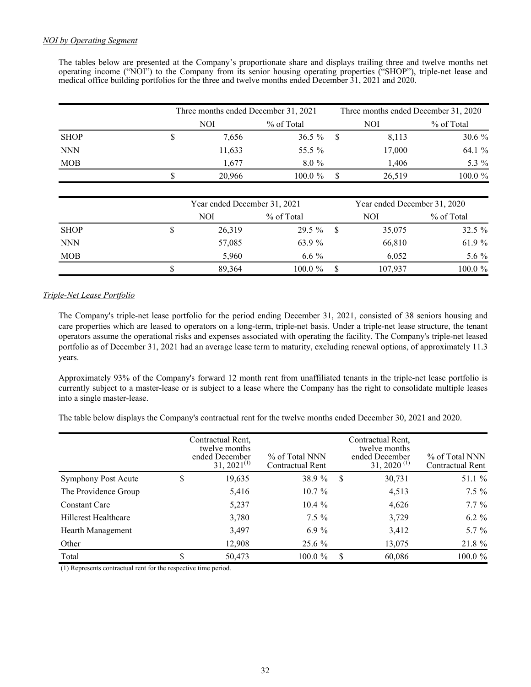The tables below are presented at the Company's proportionate share and displays trailing three and twelve months net operating income ("NOI") to the Company from its senior housing operating properties ("SHOP"), triple-net lease and medical office building portfolios for the three and twelve months ended December 31, 2021 and 2020.

|             | Three months ended December 31, 2021 |            | Three months ended December 31, 2020 |            |
|-------------|--------------------------------------|------------|--------------------------------------|------------|
|             | NOI                                  | % of Total | NOI                                  | % of Total |
| <b>SHOP</b> | 7,656                                | $36.5\%$   | 8,113                                | $30.6 \%$  |
| <b>NNN</b>  | 11,633                               | 55.5 %     | 17,000                               | 64.1 %     |
| <b>MOB</b>  | 1.677                                | $8.0\%$    | 1,406                                | 5.3 %      |
|             | 20,966                               | $100.0 \%$ | 26,519                               | 100.0 %    |

|             | Year ended December 31, 2021 |            |      | Year ended December 31, 2020 |            |
|-------------|------------------------------|------------|------|------------------------------|------------|
|             | NOI                          | % of Total |      | NOI                          | % of Total |
| <b>SHOP</b> | 26,319                       | $29.5\%$   | - \$ | 35,075                       | $32.5 \%$  |
| <b>NNN</b>  | 57,085                       | 63.9 %     |      | 66,810                       | 61.9 $%$   |
| <b>MOB</b>  | 5.960                        | 6.6 $\%$   |      | 6.052                        | 5.6 %      |
|             | 89,364                       | $100.0 \%$ |      | 107,937                      | $100.0 \%$ |

## *Triple-Net Lease Portfolio*

 The Company's triple-net lease portfolio for the period ending December 31, 2021, consisted of 38 seniors housing and care properties which are leased to operators on a long-term, triple-net basis. Under a triple-net lease structure, the tenant operators assume the operational risks and expenses associated with operating the facility. The Company's triple-net leased portfolio as of December 31, 2021 had an average lease term to maturity, excluding renewal options, of approximately 11.3 years.

 Approximately 93% of the Company's forward 12 month rent from unaffiliated tenants in the triple-net lease portfolio is currently subject to a master-lease or is subject to a lease where the Company has the right to consolidate multiple leases into a single master-lease.

The table below displays the Company's contractual rent for the twelve months ended December 30, 2021 and 2020.

|                             | Contractual Rent.<br>twelve months<br>ended December<br>$31, 2021^{(1)}$ | % of Total NNN<br>Contractual Rent |     | Contractual Rent.<br>twelve months<br>ended December<br>$31, 2020$ <sup>(1)</sup> | % of Total NNN<br>Contractual Rent |
|-----------------------------|--------------------------------------------------------------------------|------------------------------------|-----|-----------------------------------------------------------------------------------|------------------------------------|
| <b>Symphony Post Acute</b>  | \$<br>19,635                                                             | 38.9 %                             | S   | 30,731                                                                            | 51.1 %                             |
| The Providence Group        | 5,416                                                                    | $10.7\%$                           |     | 4,513                                                                             | $7.5\%$                            |
| <b>Constant Care</b>        | 5,237                                                                    | $10.4 \%$                          |     | 4,626                                                                             | $7.7\%$                            |
| <b>Hillcrest Healthcare</b> | 3,780                                                                    | $7.5\%$                            |     | 3,729                                                                             | $6.2 \%$                           |
| Hearth Management           | 3,497                                                                    | $6.9\%$                            |     | 3,412                                                                             | $5.7 \%$                           |
| Other                       | 12,908                                                                   | $25.6\%$                           |     | 13,075                                                                            | 21.8 %                             |
| Total                       | 50,473                                                                   | $100.0 \%$                         | \$. | 60,086                                                                            | 100.0 %                            |

(1) Represents contractual rent for the respective time period.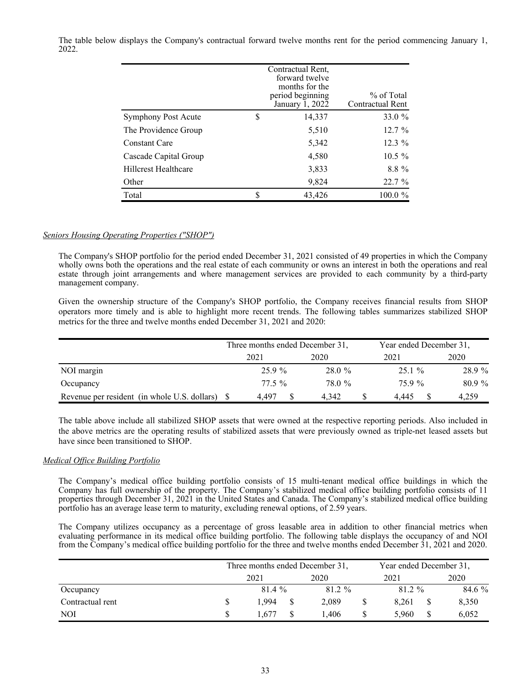The table below displays the Company's contractual forward twelve months rent for the period commencing January 1, 2022.

|                             | Contractual Rent,<br>forward twelve<br>months for the<br>period beginning<br>January 1, 2022 | % of Total<br>Contractual Rent |
|-----------------------------|----------------------------------------------------------------------------------------------|--------------------------------|
| <b>Symphony Post Acute</b>  | \$<br>14,337                                                                                 | 33.0 %                         |
| The Providence Group        | 5,510                                                                                        | 12.7 %                         |
| <b>Constant Care</b>        | 5,342                                                                                        | $12.3\%$                       |
| Cascade Capital Group       | 4,580                                                                                        | $10.5 \%$                      |
| <b>Hillcrest Healthcare</b> | 3,833                                                                                        | $8.8\%$                        |
| Other                       | 9,824                                                                                        | 22.7%                          |
| Total                       | \$<br>43,426                                                                                 | 100.0 %                        |

## *Seniors Housing Operating Properties ("SHOP")*

The Company's SHOP portfolio for the period ended December 31, 2021 consisted of 49 properties in which the Company wholly owns both the operations and the real estate of each community or owns an interest in both the operations and real estate through joint arrangements and where management services are provided to each community by a third-party management company.

Given the ownership structure of the Company's SHOP portfolio, the Company receives financial results from SHOP operators more timely and is able to highlight more recent trends. The following tables summarizes stabilized SHOP metrics for the three and twelve months ended December 31, 2021 and 2020:

|                                                 | Three months ended December 31, |      |        | Year ended December 31, |      |          |
|-------------------------------------------------|---------------------------------|------|--------|-------------------------|------|----------|
|                                                 | 2021                            |      | 2020   | 2021                    | 2020 |          |
| NOI margin                                      |                                 | 259% | 28.0%  | $25.1 \%$               |      | 28.9 %   |
| Occupancy                                       | 77.5 %                          |      | 78.0 % | 759%                    |      | $80.9\%$ |
| Revenue per resident (in whole U.S. dollars) \$ | 4.497                           |      | 4.342  | 4.445                   |      | 4,259    |

The table above include all stabilized SHOP assets that were owned at the respective reporting periods. Also included in the above metrics are the operating results of stabilized assets that were previously owned as triple-net leased assets but have since been transitioned to SHOP.

## *Medical Office Building Portfolio*

The Company's medical office building portfolio consists of 15 multi-tenant medical office buildings in which the Company has full ownership of the property. The Company's stabilized medical office building portfolio consists of 11 properties through December 31, 2021 in the United States and Canada. The Company's stabilized medical office building portfolio has an average lease term to maturity, excluding renewal options, of 2.59 years.

The Company utilizes occupancy as a percentage of gross leasable area in addition to other financial metrics when evaluating performance in its medical office building portfolio. The following table displays the occupancy of and NOI from the Company's medical office building portfolio for the three and twelve months ended December 31, 2021 and 2020.

|                  | Three months ended December 31, |      |        |  | Year ended December 31, |             |  |
|------------------|---------------------------------|------|--------|--|-------------------------|-------------|--|
|                  | 2021                            | 2020 |        |  | 2021                    | 2020        |  |
| Occupancy        | 81.4%                           |      | 81.2 % |  | 81.2 %                  | 84.6 %      |  |
| Contractual rent | 1.994                           |      | 2,089  |  | 8.261                   | 8,350       |  |
| <b>NOI</b>       | .677                            |      | .406   |  | 5.960                   | \$<br>6,052 |  |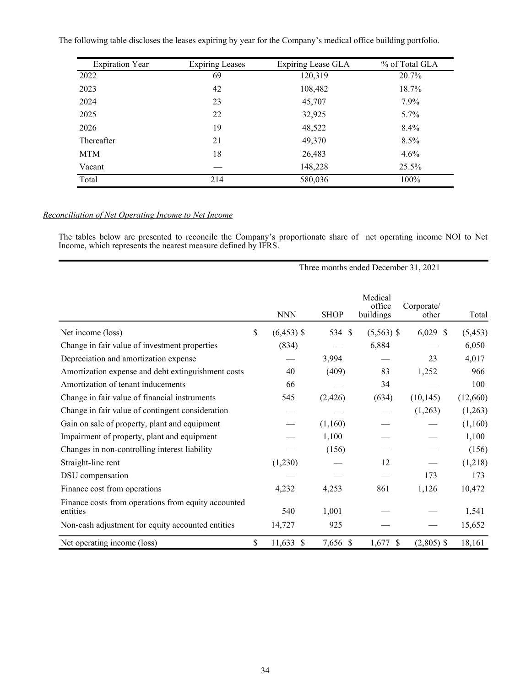The following table discloses the leases expiring by year for the Company's medical office building portfolio.

| <b>Expiration Year</b> | <b>Expiring Leases</b> | Expiring Lease GLA | % of Total GLA |
|------------------------|------------------------|--------------------|----------------|
| 2022                   | 69                     | 120,319            | $20.7\%$       |
| 2023                   | 42                     | 108,482            | 18.7%          |
| 2024                   | 23                     | 45,707             | $7.9\%$        |
| 2025                   | 22                     | 32,925             | $5.7\%$        |
| 2026                   | 19                     | 48,522             | $8.4\%$        |
| Thereafter             | 21                     | 49,370             | 8.5%           |
| <b>MTM</b>             | 18                     | 26,483             | 4.6%           |
| Vacant                 |                        | 148,228            | 25.5%          |
| Total                  | 214                    | 580,036            | 100%           |

## *Reconciliation of Net Operating Income to Net Income*

The tables below are presented to reconcile the Company's proportionate share of net operating income NOI to Net Income, which represents the nearest measure defined by IFRS.

|                                                                 |                    |             | Three months ended December 31, 2021 |                     |          |
|-----------------------------------------------------------------|--------------------|-------------|--------------------------------------|---------------------|----------|
|                                                                 | <b>NNN</b>         | <b>SHOP</b> | Medical<br>office<br>buildings       | Corporate/<br>other | Total    |
| Net income (loss)                                               | \$<br>$(6,453)$ \$ | 534 \$      | $(5,563)$ \$                         | $6,029$ \$          | (5, 453) |
| Change in fair value of investment properties                   | (834)              |             | 6,884                                |                     | 6,050    |
| Depreciation and amortization expense                           |                    | 3,994       |                                      | 23                  | 4,017    |
| Amortization expense and debt extinguishment costs              | 40                 | (409)       | 83                                   | 1,252               | 966      |
| Amortization of tenant inducements                              | 66                 |             | 34                                   |                     | 100      |
| Change in fair value of financial instruments                   | 545                | (2, 426)    | (634)                                | (10, 145)           | (12,660) |
| Change in fair value of contingent consideration                |                    |             |                                      | (1,263)             | (1,263)  |
| Gain on sale of property, plant and equipment                   |                    | (1,160)     |                                      |                     | (1,160)  |
| Impairment of property, plant and equipment                     |                    | 1,100       |                                      |                     | 1,100    |
| Changes in non-controlling interest liability                   |                    | (156)       |                                      |                     | (156)    |
| Straight-line rent                                              | (1,230)            |             | 12                                   |                     | (1,218)  |
| DSU compensation                                                |                    |             |                                      | 173                 | 173      |
| Finance cost from operations                                    | 4,232              | 4,253       | 861                                  | 1,126               | 10,472   |
| Finance costs from operations from equity accounted<br>entities | 540                | 1,001       |                                      |                     | 1,541    |
| Non-cash adjustment for equity accounted entities               | 14,727             | 925         |                                      |                     | 15,652   |
| Net operating income (loss)                                     | \$<br>$11,633$ \$  | 7,656 \$    | 1,677<br><sup>\$</sup>               | $(2,805)$ \$        | 18,161   |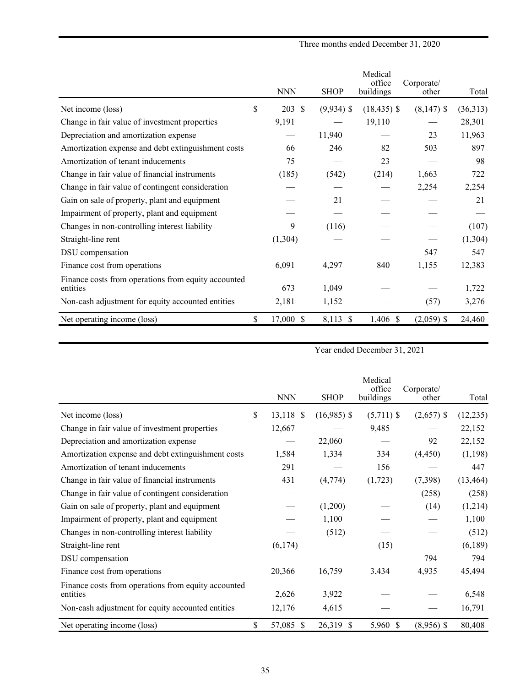Three months ended December 31, 2020

|                                                                 | <b>NNN</b>                | <b>SHOP</b>  | Medical<br>office<br>buildings | Corporate/<br>other | Total    |
|-----------------------------------------------------------------|---------------------------|--------------|--------------------------------|---------------------|----------|
| Net income (loss)                                               | \$<br>203<br>$\mathbb{S}$ | $(9,934)$ \$ | $(18, 435)$ \$                 | $(8,147)$ \$        | (36,313) |
| Change in fair value of investment properties                   | 9,191                     |              | 19,110                         |                     | 28,301   |
| Depreciation and amortization expense                           |                           | 11,940       |                                | 23                  | 11,963   |
| Amortization expense and debt extinguishment costs              | 66                        | 246          | 82                             | 503                 | 897      |
| Amortization of tenant inducements                              | 75                        |              | 23                             |                     | 98       |
| Change in fair value of financial instruments                   | (185)                     | (542)        | (214)                          | 1,663               | 722      |
| Change in fair value of contingent consideration                |                           |              |                                | 2,254               | 2,254    |
| Gain on sale of property, plant and equipment                   |                           | 21           |                                |                     | 21       |
| Impairment of property, plant and equipment                     |                           |              |                                |                     |          |
| Changes in non-controlling interest liability                   | 9                         | (116)        |                                |                     | (107)    |
| Straight-line rent                                              | (1,304)                   |              |                                |                     | (1, 304) |
| DSU compensation                                                |                           |              |                                | 547                 | 547      |
| Finance cost from operations                                    | 6,091                     | 4,297        | 840                            | 1,155               | 12,383   |
| Finance costs from operations from equity accounted<br>entities | 673                       | 1,049        |                                |                     | 1,722    |
| Non-cash adjustment for equity accounted entities               | 2,181                     | 1,152        |                                | (57)                | 3,276    |
| Net operating income (loss)                                     | \$<br>17,000 \$           | 8,113 \$     | 1,406 \$                       | $(2,059)$ \$        | 24,460   |

Year ended December 31, 2021

|                                                                 | <b>NNN</b>                    | <b>SHOP</b>   | Medical<br>office<br>buildings | Corporate/<br>other | Total     |
|-----------------------------------------------------------------|-------------------------------|---------------|--------------------------------|---------------------|-----------|
| Net income (loss)                                               | \$<br>13,118<br><sup>\$</sup> | $(16,985)$ \$ | $(5,711)$ \$                   | $(2,657)$ \$        | (12, 235) |
| Change in fair value of investment properties                   | 12,667                        |               | 9,485                          |                     | 22,152    |
| Depreciation and amortization expense                           |                               | 22,060        |                                | 92                  | 22,152    |
| Amortization expense and debt extinguishment costs              | 1,584                         | 1,334         | 334                            | (4, 450)            | (1, 198)  |
| Amortization of tenant inducements                              | 291                           |               | 156                            |                     | 447       |
| Change in fair value of financial instruments                   | 431                           | (4,774)       | (1,723)                        | (7,398)             | (13, 464) |
| Change in fair value of contingent consideration                |                               |               |                                | (258)               | (258)     |
| Gain on sale of property, plant and equipment                   |                               | (1,200)       |                                | (14)                | (1,214)   |
| Impairment of property, plant and equipment                     |                               | 1,100         |                                |                     | 1,100     |
| Changes in non-controlling interest liability                   |                               | (512)         |                                |                     | (512)     |
| Straight-line rent                                              | (6,174)                       |               | (15)                           |                     | (6,189)   |
| DSU compensation                                                |                               |               |                                | 794                 | 794       |
| Finance cost from operations                                    | 20,366                        | 16,759        | 3,434                          | 4,935               | 45,494    |
| Finance costs from operations from equity accounted<br>entities | 2,626                         | 3,922         |                                |                     | 6,548     |
| Non-cash adjustment for equity accounted entities               | 12,176                        | 4,615         |                                |                     | 16,791    |
| Net operating income (loss)                                     | \$<br>57,085<br>-S            | 26,319 \$     | 5,960 \$                       | $(8,956)$ \$        | 80,408    |